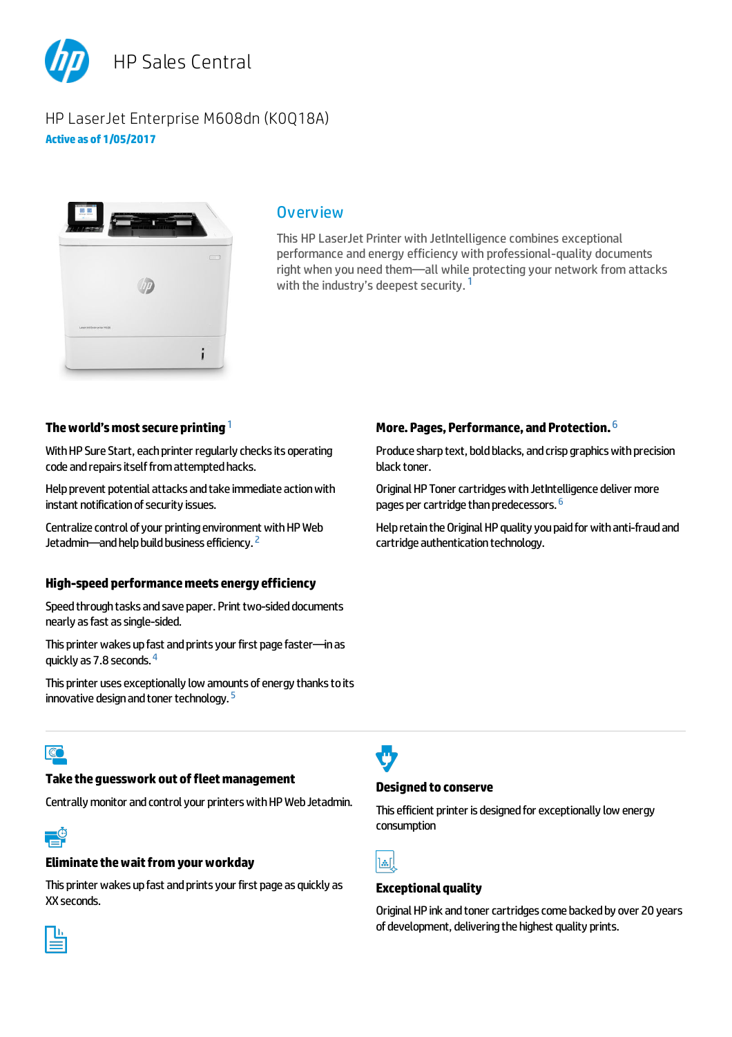

# HP LaserJet Enterprise M608dn (K0Q18A) **Activeas of 1/05/2017**



### **Overview**

This HP LaserJet Printer with JetIntelligence combines exceptional performance and energy efficiency with professional-quality documents right when you need them—all while protecting your network from attacks with the industry's deepest security.<sup>1</sup>

# The world's most secure printing <sup>1</sup>

With HP Sure Start, each printer regularly checks its operating code and repairs itself from attempted hacks.

Help prevent potential attacks and take immediate action with instant notification of security issues.

Centralize control of your printing environment with HP Web Jetadmin—and help build business efficiency. <sup>2</sup>

#### **High-speed performancemeetsenergyefficiency**

Speed through tasks and save paper. Print two-sided documents nearly as fast as single-sided.

This printer wakes up fast and prints your first page faster—in as quickly as 7.8 seconds. <sup>4</sup>

This printer uses exceptionally low amounts of energy thanks to its innovative design and toner technology.  $5$ 

# More. Pages, Performance, and Protection. <sup>6</sup>

Produce sharp text, bold blacks, and crisp graphics with precision black toner.

Original HP Toner cartridges with JetIntelligence deliver more pages per cartridge than predecessors. <sup>6</sup>

Help retain the Original HP quality you paid for with anti-fraud and cartridge authentication technology.

# $\overline{\mathbb{C}}$

### **Taketheguesswork out offleetmanagement**

Centrally monitor and control your printers with HP Web Jetadmin.

#### **Eliminate the wait from your workday**

This printer wakes up fast and prints your first page as quickly as XX seconds.

### **Designed to conserve**

This efficient printer is designed for exceptionally low energy consumption



#### **Exceptionalquality**

Original HP ink and toner cartridges come backed by over 20 years of development, delivering the highest quality prints.

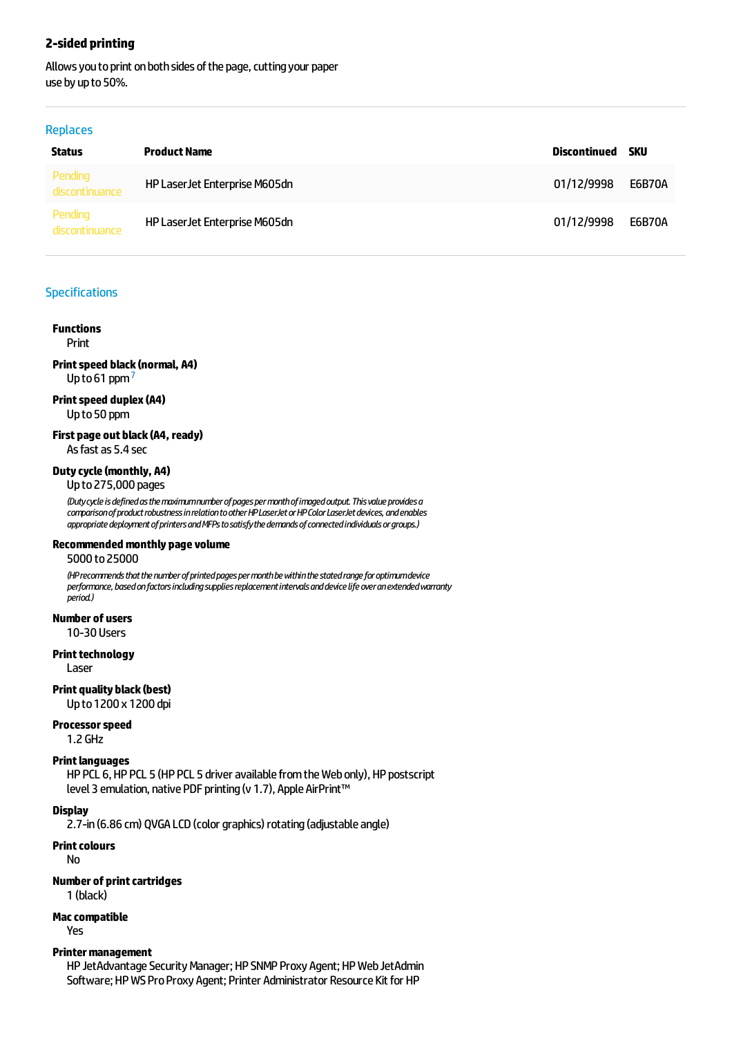### **2-sided printing**

Allows you to print on both sides of the page, cutting your paper use by up to 50%.

#### Replaces

| <b>Status</b>             | <b>Product Name</b>            | Discontinued | sku           |
|---------------------------|--------------------------------|--------------|---------------|
| Pending<br>discontinuance | HP Laser Jet Enterprise M605dn | 01/12/9998   | <b>E6B70A</b> |
| Pending<br>discontinuance | HP Laser Jet Enterprise M605dn | 01/12/9998   | <b>E6B70A</b> |

### Specifications

### **Functions**

Print

### **Printspeed black(normal, A4)** Up to 61 ppm<sup>7</sup>

#### **Printspeed duplex(A4)** Upto50 ppm

**First page out black(A4, ready)** As fast as 5.4 sec

### **Dutycycle(monthly, A4)**

Upto275,000 pages

*(Dutycycleisdefinedasthemaximumnumberofpagespermonthofimagedoutput.Thisvalueprovidesa comparisonofproductrobustnessinrelationtootherHPLaserJetorHPColorLaserJetdevices,andenables* appropriate deployment of printers and MFPs to satisfy the demands of connected individuals or groups.)

#### **Recommendedmonthly pagevolume**

5000 to25000

*(HPrecommendsthatthenumberofprintedpagespermonthbewithinthestatedrangeforoptimumdevice performance,basedonfactorsincludingsuppliesreplacementintervalsanddevicelifeoveranextendedwarranty period.)*

#### **Number of users**

10-30 Users

#### **Print technology**

Laser

#### **Print quality black (best)**

Upto1200 x 1200 dpi

#### **Processorspeed**

1.2 GHz

#### **Print languages**

HP PCL 6, HP PCL 5 (HP PCL 5 driver available from the Web only), HP postscript level 3 emulation, native PDF printing (v 1.7), Apple AirPrint™

#### **Display**

2.7-in (6.86 cm) QVGA LCD (color graphics) rotating (adjustable angle)

#### **Print colours**

No

### **Number of print cartridges**

1 (black)

#### **Maccompatible**

Yes

#### **Printer management**

HP JetAdvantage Security Manager; HP SNMP Proxy Agent; HP Web JetAdmin Software; HP WS Pro Proxy Agent; Printer Administrator Resource Kit for HP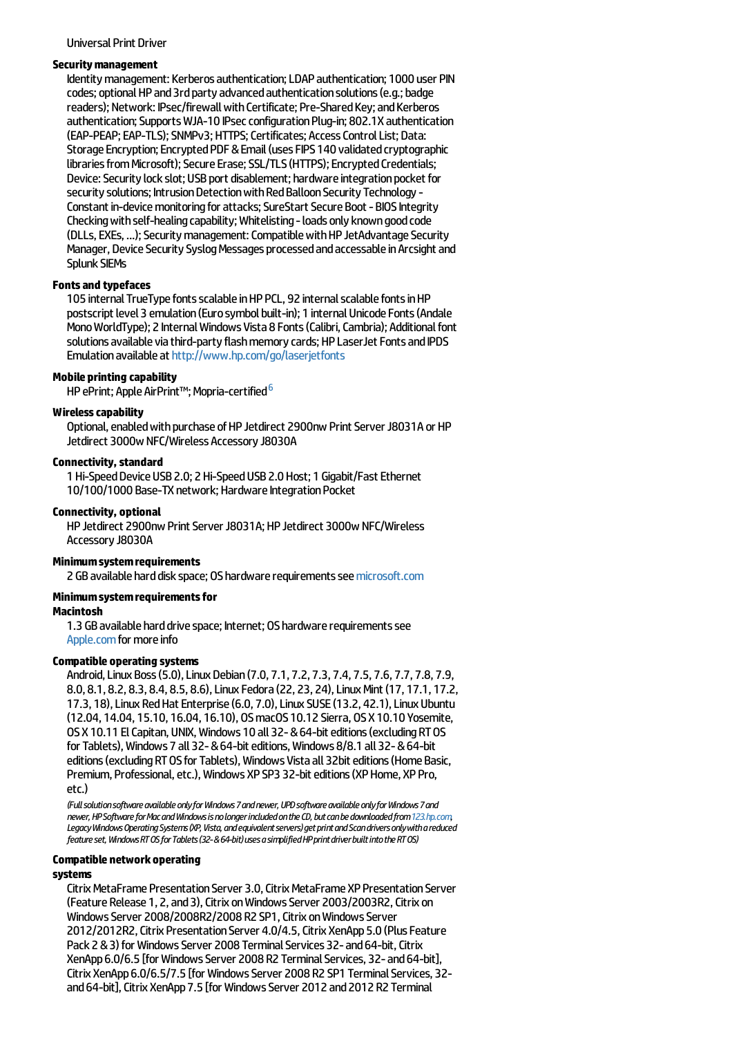#### Universal Print Driver

#### **Securitymanagement**

Identity management: Kerberos authentication; LDAP authentication; 1000 user PIN codes; optional HP and 3rd party advanced authentication solutions (e.g.; badge readers): Network: IPsec/firewall with Certificate: Pre-Shared Key: and Kerberos authentication; Supports WJA-10 IPsec configuration Plug-in: 802.1X authentication (EAP-PEAP; EAP-TLS); SNMPv3; HTTPS; Certificates; Access Control List; Data: Storage Encryption; Encrypted PDF & Email (uses FIPS 140 validated cryptographic libraries from Microsoft); Secure Erase; SSL/TLS (HTTPS); Encrypted Credentials; Device: Security lock slot; USB port disablement; hardware integration pocket for security solutions; Intrusion Detection with Red Balloon Security Technology -Constant in-device monitoring for attacks; SureStart Secure Boot - BIOS Integrity Checking with self-healing capability; Whitelisting - loads only known good code (DLLs, EXEs, ...); Security management: Compatible with HP JetAdvantage Security Manager, Device Security Syslog Messages processed and accessable in Arcsight and Splunk SIEMs

#### **Fontsand typefaces**

105 internal TrueType fonts scalable in HP PCL, 92 internal scalable fonts in HP postscript level 3 emulation (Euro symbol built-in); 1 internal Unicode Fonts (Andale Mono WorldType); 2 Internal Windows Vista 8 Fonts (Calibri, Cambria); Additional font solutions available via third-party flash memory cards; HP LaserJet Fonts and IPDS Emulation available at <http://www.hp.com/go/laserjetfonts>

#### **Mobile printing capability**

und printuity or producy<br>HP ePrint; Apple AirPrint™; Mopria-certified <sup>6</sup>

#### **Wirelesscapability**

Optional, enabled with purchase of HP Jetdirect 2900nw Print Server J8031A or HP Jetdirect 3000w NFC/Wireless Accessory J8030A

#### **Connectivity, standard**

1 Hi-Speed Device USB 2.0; 2 Hi-Speed USB 2.0 Host; 1 Gigabit/Fast Ethernet 10/100/1000 Base-TX network; Hardware Integration Pocket

#### **Connectivity, optional**

HP Jetdirect 2900nw Print Server J8031A; HP Jetdirect 3000w NFC/Wireless Accessory J8030A

#### **Minimumsystemrequirements**

2 GB available hard disk space; OS hardware requirements see [microsoft.com](http://microsoft.com)

#### **Minimumsystemrequirementsfor**

#### **Macintosh**

1.3 GB available hard drive space; Internet; OS hardware requirements see [Apple.com](http://apple.com) for more info

#### **Compatible operating systems**

Android,Linux Boss(5.0),Linux Debian(7.0, 7.1, 7.2, 7.3, 7.4, 7.5, 7.6, 7.7, 7.8, 7.9, 8.0, 8.1, 8.2, 8.3, 8.4, 8.5, 8.6), Linux Fedora (22, 23, 24), Linux Mint (17, 17.1, 17.2, 17.3, 18), Linux Red Hat Enterprise (6.0, 7.0), Linux SUSE (13.2, 42.1), Linux Ubuntu (12.04, 14.04, 15.10, 16.04, 16.10), OSmacOS10.12 Sierra, OSX10.10 Yosemite, OSX10.11 ElCapitan, UNIX,Windows 10 all 32-&64-biteditions(excludingRTOS for Tablets), Windows 7 all 32- & 64-bit editions, Windows 8/8.1 all 32- & 64-bit editions (excluding RT OS for Tablets), Windows Vista all 32bit editions (Home Basic, Premium, Professional, etc.), Windows XP SP3 32-bit editions (XP Home, XP Pro, etc.)

*(FullsolutionsoftwareavailableonlyforWindows7andnewer,UPDsoftwareavailableonlyforWindows7and newer,HPSoftwareforMacandWindowsisnolongerincludedontheCD,butcanbedownloadedfrom[123.hp.com](http://123.hp.com),* Legacy Windows Operating Systems (XP, Vista, and equivalent servers) get print and Scan drivers only with a reduced *featureset,WindowsRTOSforTablets(32-&64-bit)usesasimplifiedHPprintdriverbuiltintotheRTOS)*

#### **Compatible networkoperating**

#### **systems**

Citrix MetaFrame Presentation Server 3.0, Citrix MetaFrame XP Presentation Server (Feature Release 1, 2, and 3), Citrix on Windows Server 2003/2003R2, Citrix on Windows Server 2008/2008R2/2008 R2 SP1, Citrix on Windows Server 2012/2012R2, Citrix Presentation Server 4.0/4.5, Citrix XenApp 5.0 (Plus Feature Pack 2 & 3) for Windows Server 2008 Terminal Services 32- and 64-bit, Citrix XenApp 6.0/6.5 [for Windows Server 2008 R2 Terminal Services, 32- and 64-bit], Citrix XenApp 6.0/6.5/7.5 [for Windows Server 2008 R2 SP1 Terminal Services, 32and 64-bit], Citrix XenApp 7.5 [for Windows Server 2012 and 2012 R2 Terminal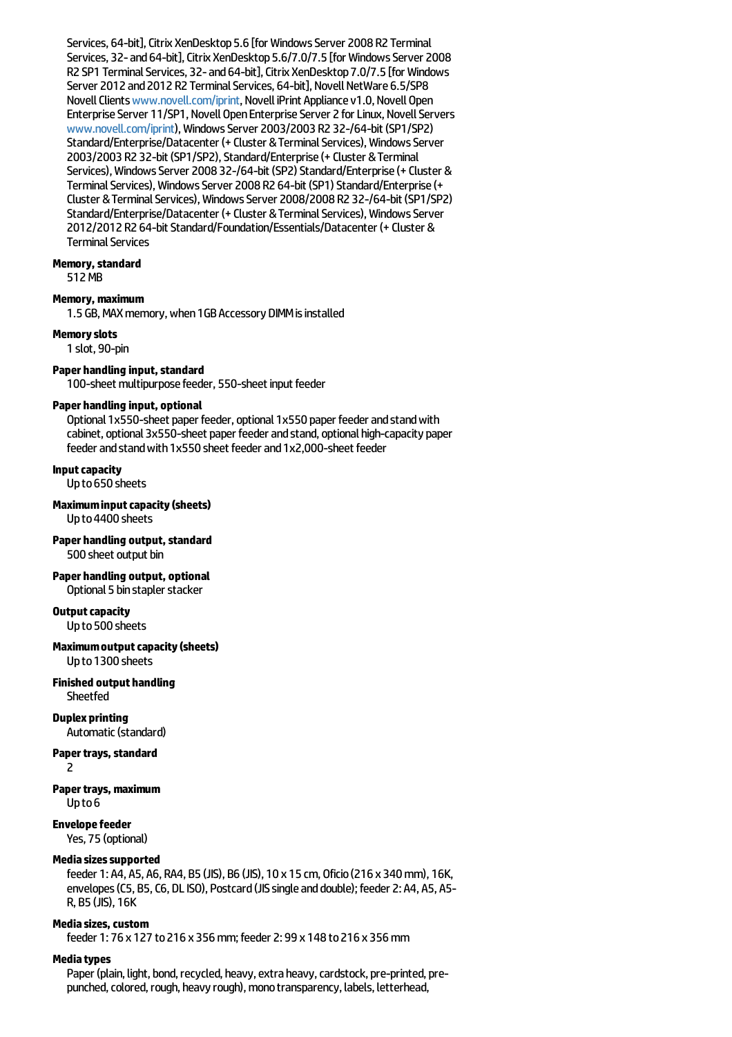Services, 64-bit], Citrix XenDesktop 5.6 [for Windows Server 2008 R2 Terminal Services, 32- and 64-bit], Citrix XenDesktop 5.6/7.0/7.5 [for Windows Server 2008 R2 SP1 Terminal Services, 32- and 64-bit], Citrix XenDesktop 7.0/7.5 [for Windows Server 2012 and 2012 R2 Terminal Services, 64-bit], Novell NetWare 6.5/SP8 Novell Clients [www.novell.com/iprint](http://www.novell.com/iprint), Novell iPrint Appliance v1.0, Novell Open Enterprise Server 11/SP1, Novell Open Enterprise Server 2 for Linux, Novell Servers [www.novell.com/iprint](http://www.novell.com/iprint)),WindowsServer 2003/2003 R2 32-/64-bit(SP1/SP2) Standard/Enterprise/Datacenter (+ Cluster & Terminal Services), Windows Server 2003/2003 R2 32-bit (SP1/SP2), Standard/Enterprise (+ Cluster & Terminal Services), Windows Server 2008 32-/64-bit (SP2) Standard/Enterprise (+ Cluster & Terminal Services), Windows Server 2008 R2 64-bit (SP1) Standard/Enterprise (+ Cluster &TerminalServices),WindowsServer 2008/2008 R2 32-/64-bit(SP1/SP2) Standard/Enterprise/Datacenter (+ Cluster & Terminal Services), Windows Server 2012/2012 R2 64-bit Standard/Foundation/Essentials/Datacenter (+ Cluster & **Terminal Services** 

### **Memory, standard**

512MB

#### **Memory,maximum**

1.5 GB, MAX memory, when 1GB Accessory DIMM is installed

#### **Memoryslots**

1 slot, 90-pin

### **Paper handling input, standard**

100-sheet multipurpose feeder, 550-sheet input feeder

#### **Paper handling input, optional**

Optional 1x550-sheet paper feeder, optional 1x550 paper feeder and stand with cabinet, optional 3x550-sheet paper feeder and stand, optional high-capacity paper feeder and stand with 1x550 sheet feeder and 1x2,000-sheet feeder

#### **Inputcapacity**

Upto650 sheets

**Maximuminputcapacity(sheets)** Upto4400 sheets

**Paper handling output, standard** 500 sheet output bin

**Paper handling output, optional** Optional 5 bin stapler stacker

### **Output capacity**

Upto500 sheets

**Maximumoutputcapacity(sheets)** Upto1300 sheets

**Finished output handling Sheetfed** 

# **Duplex printing**

Automatic(standard)

### **Paper travs, standard**

2

#### **Paper trays, maximum** Upto6

**Envelopefeeder**

Yes, 75 (optional)

### **Mediasizessupported**

feeder 1: A4, A5, A6, RA4, B5 (JIS), B6 (JIS), 10 x 15 cm, Oficio(216 x 340mm), 16K, envelopes (C5, B5, C6, DL ISO), Postcard (JIS single and double); feeder 2: A4, A5, A5-R, B5 (JIS), 16K

### **Mediasizes,custom**

feeder 1: 76 x 127 to216 x 356mm;feeder 2: 99 x 148 to216 x 356mm

### **Mediatypes**

Paper (plain, light, bond, recycled, heavy, extra heavy, cardstock, pre-printed, prepunched, colored, rough, heavy rough), mono transparency, labels, letterhead,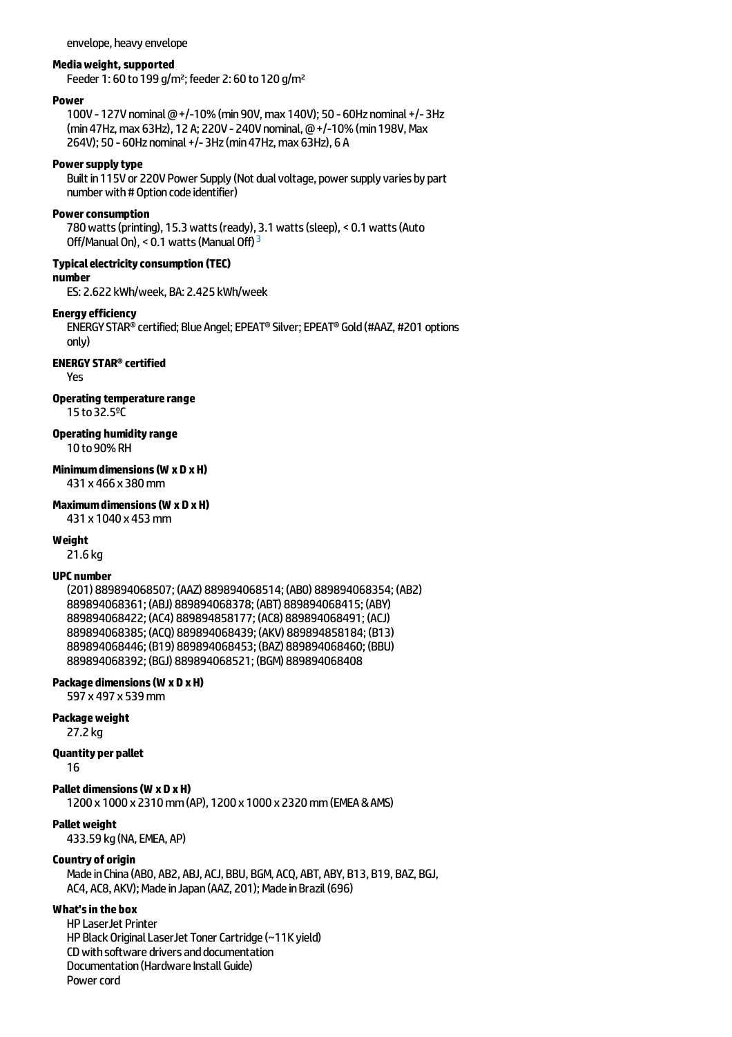envelope, heavy envelope

#### **Mediaweight,supported**

Feeder 1: 60 to 199 g/m<sup>2</sup>; feeder 2: 60 to 120 g/m<sup>2</sup>

#### **Power**

100V - 127V nominal @ +/-10% (min 90V, max 140V); 50 - 60Hz nominal +/-3Hz (min47Hz,max 63Hz), 12 A; 220V -240V nominal,@+/-10%(min198V,Max 264V); 50 - 60Hz nominal +/-3Hz (min 47Hz, max 63Hz), 6 A

#### **Powersupplytype**

Built in 115V or 220V Power Supply (Not dual voltage, power supply varies by part number with # Option code identifier)

#### **Power consumption**

780watts(printing), 15.3watts(ready), 3.1watts(sleep), < 0.1watts(Auto Off/Manual On), < 0.1 watts (Manual Off)<sup>3</sup>

#### **Typicalelectricityconsumption (TEC)**

**number**

ES: 2.622 kWh/week, BA: 2.425 kWh/week

#### **Energyefficiency**

ENERGYSTAR®certified; Blue Angel;EPEAT®Silver;EPEAT® Gold(#AAZ, #201 options only)

#### **ENERGY STAR®certified**

Yes

#### **Operating temperature range**

15 to32.5ºC

### **Operating humidityrange**

10 to90%RH

### **Minimumdimensions(W x D xH)**

431 x 466 x 380mm

#### **Maximumdimensions(W xD xH)**

431 x 1040 x 453mm

#### **Weight**

21.6 kg

#### **UPC number**

(201) 889894068507; (AAZ) 889894068514; (AB0) 889894068354; (AB2) 889894068361; (ABJ) 889894068378; (ABT) 889894068415; (ABY) 889894068422; (AC4) 889894858177; (AC8) 889894068491; (ACJ) 889894068385; (ACQ) 889894068439; (AKV) 889894858184; (B13) 889894068446; (B19) 889894068453; (BAZ) 889894068460; (BBU) 889894068392; (BGJ) 889894068521; (BGM) 889894068408

#### **Package dimensions(W x D xH)**

597 x 497 x 539mm

#### **Packageweight**

27.2 kg

#### **Quantity per pallet**

16

#### **Pallet dimensions(W xD xH)**

1200 x 1000 x 2310mm(AP), 1200 x 1000 x 2320mm(EMEA&AMS)

#### **Pallet weight**

433.59 kg(NA,EMEA, AP)

#### **Country of origin**

Made in China (ABO, AB2, ABJ, ACJ, BBU, BGM, ACQ, ABT, ABY, B13, B19, BAZ, BGJ, AC4, AC8, AKV); Made in Japan (AAZ, 201); Made in Brazil (696)

### **What'sin the box**

HP LaserJet Printer HP Black Original LaserJet Toner Cartridge (~11K yield) CD with software drivers and documentation Documentation (Hardware Install Guide) Power cord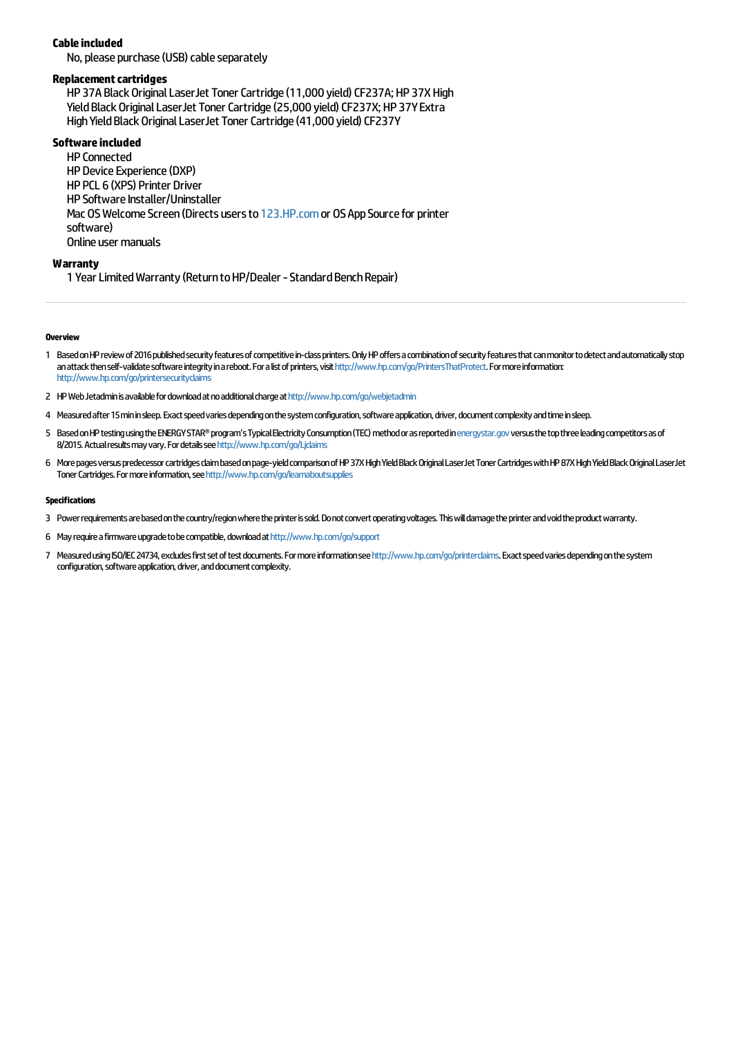### **Cableincluded**

No, please purchase (USB) cable separately

#### **Replacement cartridges**

HP 37A Black Original LaserJet Toner Cartridge (11,000 vield) CF237A; HP 37X High Yield Black Original LaserJet Toner Cartridge (25,000 yield) CF237X; HP 37Y Extra High Yield Black Original LaserJet Toner Cartridge (41,000 yield) CF237Y

### **Software included**

HP Connected HP Device Experience (DXP) HP PCL 6 (XPS) Printer Driver HP Software Installer/Uninstaller Mac OS Welcome Screen (Directs users to [123.HP.com](http://123.hp.com) or OS App Source for printer software) Online user manuals

#### **Warranty**

1 Year Limited Warranty (Return to HP/Dealer - Standard Bench Repair)

#### **Overview**

- 1 Based on HP review of 2016 published security features of competitive in-class printers. Only HP offers a combination of security features that can monitor to detect and automatically stop anattack then self-validate software integrity in a reboot. For a list of printers, visit <http://www.hp.com/go/PrintersThatProtect>. For more information: <http://www.hp.com/go/printersecurityclaims>
- 2 HP Web Jetadmin is available for download at no additional charge at <http://www.hp.com/go/webjetadmin>
- 4 Measured after 15 min in sleep. Exact speed varies depending on the system configuration, software application, driver, document complexity and time in sleep.
- 5 Based on HP testing using the ENERGY STAR® program's Typical Electricity Consumption (TEC) method or as reported in energy star.gov versus the top three leading competitors as of 8/2015. Actual results may vary. For details see <http://www.hp.com/go/Ljclaims>
- 6 Morepagesversuspredecessorcartridgesclaimbasedonpage-yieldcomparisonofHP37XHighYieldBlackOriginalLaserJetTonerCartridgeswithHP87XHighYieldBlackOriginalLaserJet Toner Cartridges. For more information, see <http://www.hp.com/go/learnaboutsupplies>

#### **Specifications**

3 Powerrequirementsarebasedonthecountry/regionwheretheprinterissold.Donotconvertoperatingvoltages.Thiswilldamagetheprinterandvoidtheproductwarranty.

6 Mayrequireafirmwareupgradetobecompatible,downloadat<http://www.hp.com/go/support>

7 Measured using ISO/IEC 24734, excludes first set of test documents. For more information see <http://www.hp.com/go/printerclaims>. Exact speed varies depending on the system configuration, software application, driver, and document complexity.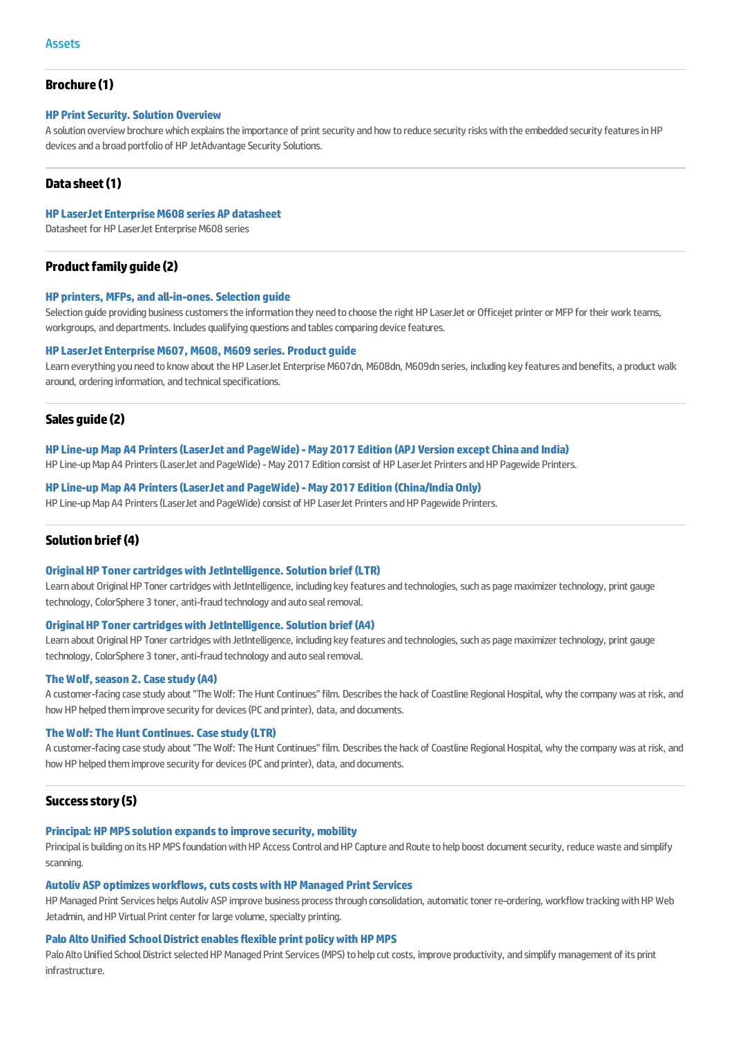### **Brochure(1)**

### **HP** Print Security. Solution Overview

A solution overview brochure which explains the importance of print security and how to reduce security risks with the embedded security features in HP devicesandabroadportfolioof HP JetAdvantageSecuritySolutions.

### **Datasheet(1)**

#### **HP [LaserJetEnterpriseM608](http://h20195.www2.hp.com/v2/GetPDF.aspx/4aa6-9440eep.pdf) series AP datasheet**

Datasheet for HP Laser let Enterprise M608 series

### **Product family quide (2)**

#### **HP printers, MFPs,and [all-in-ones.Selection](http://h20195.www2.hp.com/v2/GetPDF.aspx/4aa5-4597eep.pdf) guide**

Selection guide providing business customers the information they need to choose the right HP LaserJet or Officejet printer or MFP for their work teams, workgroups, and departments. Includes qualifying questions and tables comparing device features.

#### **HP [LaserJetEnterpriseM607,](http://h20195.www2.hp.com/v2/GetPDF.aspx/4aa6-9364eep.pdf) M608, M609 series. Product guide**

Learn everything you need to know about the HP LaserJet Enterprise M607dn, M608dn, M609dn series, including key features and benefits, a product walk around, ordering information, and technical specifications.

#### **Sales guide (2)**

#### **HP Line-upMap A4 [Printers\(LaserJetand](http://h20195.www2.hp.com/v2/GetPDF.aspx/4aa6-1488eep.pdf) PageWide)-May 2017 Edition (APJ Version exceptChinaand India)**

HP Line-up Map A4 Printers (LaserJet and PageWide) - May 2017 Edition consist of HP LaserJet Printers and HP Pagewide Printers.

#### **HP Line-upMap A4 [Printers\(LaserJetand](http://h20195.www2.hp.com/v2/GetPDF.aspx/4aa7-0184eep.pdf) PageWide)-May 2017 Edition (China/IndiaOnly)**

HP Line-up Map A4 Printers (LaserJet and PageWide) consist of HP LaserJet Printers and HP Pagewide Printers.

#### **Solution brief(4)**

#### **Original HP Toner cartridges with JetIntelligence. Solution brief (LTR)**

Learn about Original HP Toner cartridges with JetIntelligence, including key features and technologies, such as page maximizer technology, print gauge technology, ColorSphere 3 toner, anti-fraud technology and auto seal removal.

#### **Original HP Toner cartridges with JetIntelligence. Solution brief (A4)**

Learn about Original HP Toner cartridges with JetIntelligence, including key features and technologies, such as page maximizer technology, print gauge technology, ColorSphere 3 toner, anti-fraud technology and auto seal removal.

#### **TheWolf,season [2.Casestudy\(A4\)](http://h20195.www2.hp.com/v2/GetPDF.aspx/4aa7-0229eew.pdf)**

A customer-facing case study about "The Wolf: The Hunt Continues" film. Describes the hack of Coastline Regional Hospital, why the company was at risk, and how HP helped them improve security for devices (PC and printer), data, and documents.

#### **The Wolf: The Hunt Continues. Case study (LTR)**

A customer-facing case study about "The Wolf: The Hunt Continues" film. Describes the hack of Coastline Regional Hospital, why the company was at risk, and how HP helped them improve security for devices (PC and printer), data, and documents.

#### **Successstory(5)**

#### **Principal: HPMPSsolution expandsto [improvesecurity,mobility](http://h20195.www2.hp.com/v2/GetPDF.aspx/4aa3-1540enw.pdf)**

Principal is building on its HP MPS foundation with HP Access Control and HP Capture and Route to help boost document security, reduce waste and simplify scanning.

### **Autoliv ASP optimizes workflows, cuts costs with HP Managed Print Services**

HP Managed Print Services helps Autoliv ASP improve business process through consolidation, automatic toner re-ordering, workflow tracking with HP Web Jetadmin, and HP Virtual Print center for large volume, specialty printing.

#### **Palo Alto Unified [SchoolDistrictenablesflexible](http://h20195.www2.hp.com/v2/GetPDF.aspx/4aa4-3358enw.pdf) print policywith HPMPS**

Palo Alto Unified School District selected HP Managed Print Services (MPS) to help cut costs, improve productivity, and simplify management of its print infrastructure.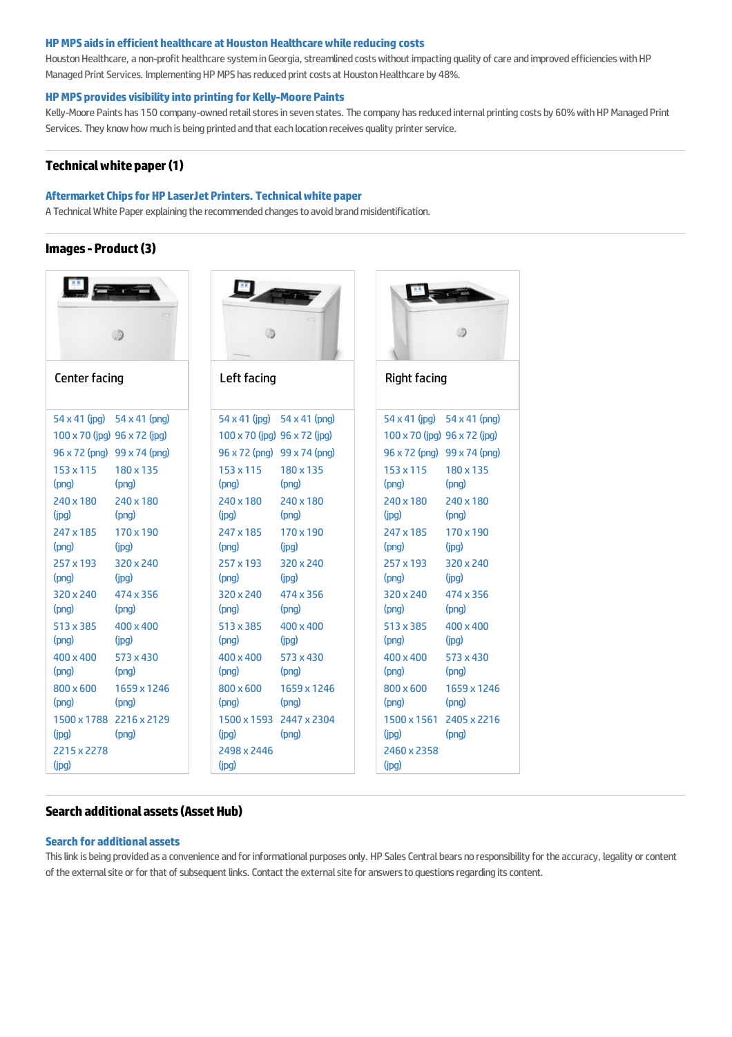#### **HPMPSaidsin efficient healthcareatHouston [Healthcarewhilereducing](http://h20195.www2.hp.com/v2/GetPDF.aspx/4aa5-4951enw.pdf) costs**

Houston Healthcare, a non-profit healthcare system in Georgia, streamlined costs without impacting quality of care and improved efficiencies with HP Managed Print Services. Implementing HP MPS has reduced print costs at Houston Healthcare by 48%.

#### **HPMPS [providesvisibilityinto](http://h20195.www2.hp.com/v2/GetPDF.aspx/4aa5-7515enw.pdf) printing for Kelly-Moore Paints**

Kelly-Moore Paints has 150 company-owned retail stores in seven states. The company has reduced internal printing costs by 60% with HP Managed Print Services. They know how much is being printed and that each location receives quality printer service.

### **Technicalwhitepaper(1)**

#### **[AftermarketChipsfor](http://h20195.www2.hp.com/v2/GetPDF.aspx/4aa6-4612enw.pdf) HP LaserJet Printers. Technicalwhite paper**

A Technical White Paper explaining the recommended changes to avoid brand misidentification.

### **Images- Product(3)**

| <b>Center facing</b> |                                            | Left facing                                |                             | <b>Right facing</b>                        |                  |
|----------------------|--------------------------------------------|--------------------------------------------|-----------------------------|--------------------------------------------|------------------|
|                      | 54 x 41 (jpg) 54 x 41 (png)                |                                            | 54 x 41 (jpg) 54 x 41 (png) | $54 \times 41$ (jpg) $54 \times 41$ (png)  |                  |
|                      | $100 \times 70$ (jpg) $96 \times 72$ (jpg) | $100 \times 70$ (jpg) $96 \times 72$ (jpg) |                             | $100 \times 70$ (ipg) $96 \times 72$ (ipg) |                  |
|                      | 96 x 72 (png) 99 x 74 (png)                |                                            | 96 x 72 (png) 99 x 74 (png) | 96 x 72 (png) 99 x 74 (png)                |                  |
| 153 x 115            | 180 x 135                                  | 153 x 115                                  | 180 x 135                   | 153 x 115                                  | 180 x 135        |
| (png)                | (png)                                      | (png)                                      | (png)                       | (png)                                      | (png)            |
| 240 x 180            | 240 x 180                                  | 240 x 180                                  | 240 x 180                   | 240 x 180                                  | 240 x 180        |
| (jpg)                | (pnq)                                      | (jpg)                                      | (pnq)                       | (pq)                                       | (png)            |
| 247 x 185            | 170 x 190                                  | 247 x 185                                  | 170 x 190                   | 247 x 185                                  | 170 x 190        |
| (png)                | (ipq)                                      | (png)                                      | (ipq)                       | (pnq)                                      | (ipq)            |
| 257 x 193            | 320 x 240                                  | 257 x 193                                  | 320 x 240                   | 257 x 193                                  | 320 x 240        |
| (pnq)                | (ipg)                                      | (pnq)                                      | (ipg)                       | (pnq)                                      | (ipq)            |
| 320 x 240            | 474 x 356                                  | 320 x 240                                  | 474 x 356                   | 320 x 240                                  | 474 x 356        |
| (png)                | (pnq)                                      | (png)                                      | (png)                       | (png)                                      | (png)            |
| 513 x 385            | 400 x 400                                  | 513 x 385                                  | 400 x 400                   | 513 x 385                                  | $400 \times 400$ |
| (png)                | (ipq)                                      | (png)                                      | (ipq)                       | (png)                                      | (ipq)            |
| 400 x 400            | 573 x 430                                  | 400 x 400                                  | 573 x 430                   | 400 x 400                                  | 573 x 430        |
| (png)                | (pnq)                                      | (png)                                      | (png)                       | (pnq)                                      | (png)            |
| $800 \times 600$     | 1659 x 1246                                | $800 \times 600$                           | 1659 x 1246                 | 800 x 600                                  | 1659 x 1246      |
| (png)                | (pnq)                                      | (png)                                      | (pnq)                       | (png)                                      | (pnq)            |
| 1500 x 1788          | 2216 x 2129                                |                                            | 1500 x 1593 2447 x 2304     | 1500 x 1561                                | 2405 x 2216      |
| (ipq)                | (pnq)                                      | (ipq)                                      | (pnq)                       | (ipq)                                      | (pnq)            |
| 2215 x 2278          |                                            | 2498 x 2446                                |                             | 2460 x 2358                                |                  |
| (jpg)                |                                            | (jpg)                                      |                             | (jpg)                                      |                  |

### **Search additional assets (Asset Hub)**

### **Search [foradditionalassets](https://h22189.www2.hp.com/hpsc?productOID=9364974&target countries=Australia {AU})**

This link is being provided as a convenience and for informational purposes only. HP Sales Central bears no responsibility for the accuracy, legality or content of the external site or for that of subsequent links. Contact the external site for answers to questions regarding its content.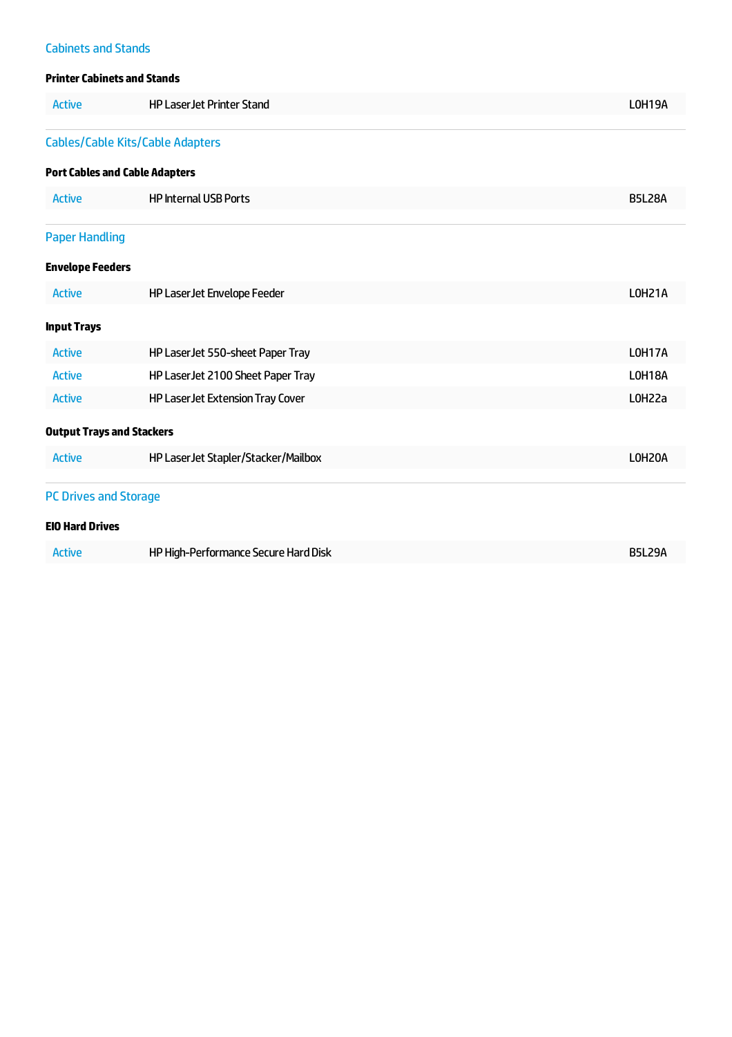## **Cabinets and Stands**

### **Printer Cabinets and Stands**

| <b>Active</b>                    | <b>HP Laser Jet Printer Stand</b>       | LOH19A        |
|----------------------------------|-----------------------------------------|---------------|
|                                  | <b>Cables/Cable Kits/Cable Adapters</b> |               |
|                                  | <b>Port Cables and Cable Adapters</b>   |               |
| <b>Active</b>                    | <b>HP Internal USB Ports</b>            | <b>B5L28A</b> |
| <b>Paper Handling</b>            |                                         |               |
| <b>Envelope Feeders</b>          |                                         |               |
| <b>Active</b>                    | HP Laser Jet Envelope Feeder            | <b>LOH21A</b> |
| <b>Input Trays</b>               |                                         |               |
| <b>Active</b>                    | HP Laser Jet 550-sheet Paper Tray       | <b>LOH17A</b> |
| <b>Active</b>                    | HP LaserJet 2100 Sheet Paper Tray       | LOH18A        |
| <b>Active</b>                    | HP Laser Jet Extension Tray Cover       | L0H22a        |
| <b>Output Trays and Stackers</b> |                                         |               |
| <b>Active</b>                    | HP Laser Jet Stapler/Stacker/Mailbox    | LOH20A        |
| <b>PC Drives and Storage</b>     |                                         |               |
| <b>EIO Hard Drives</b>           |                                         |               |
| <b>Active</b>                    | HP High-Performance Secure Hard Disk    | <b>B5L29A</b> |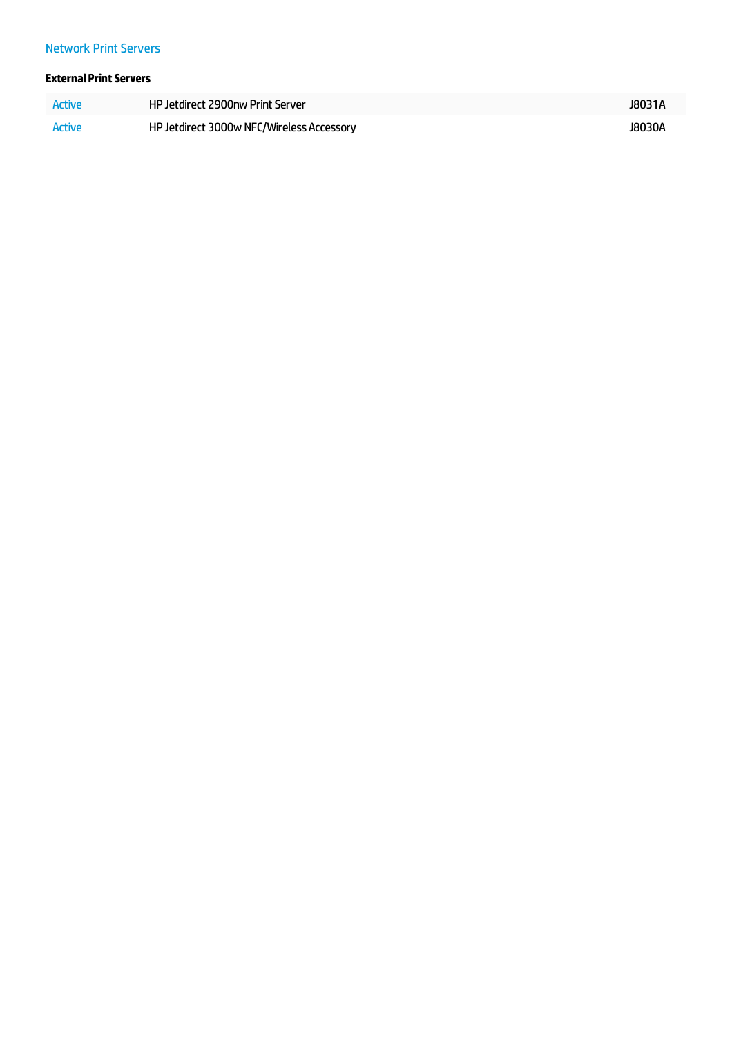### **Network Print Servers**

### **External Print Servers**

| Active | HP Jetdirect 2900nw Print Server          | J8031A |
|--------|-------------------------------------------|--------|
| Active | HP Jetdirect 3000w NFC/Wireless Accessory | J8030A |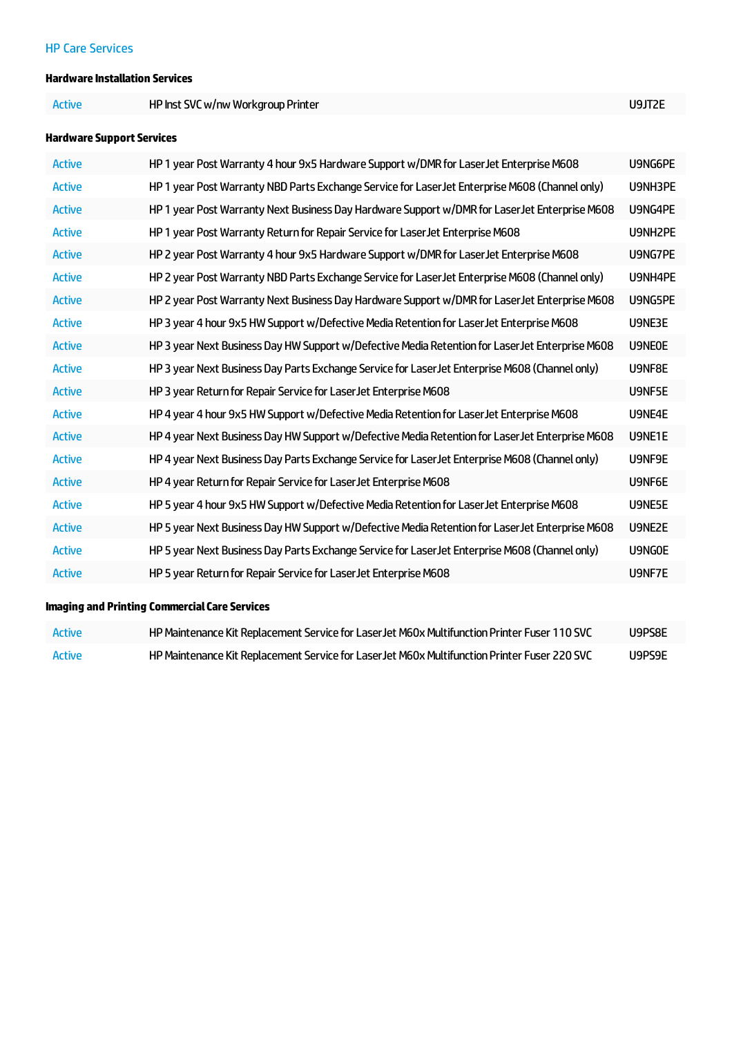### **HP Care Services**

### **Hardware Installation Services**

Active **HP Inst SVC w/nw Workgroup Printer** Material Active **[U9JT2E](#/ipg/product/U9JT2E)** 

### **Hardware Support Services**

| <b>Active</b> | HP 1 year Post Warranty 4 hour 9x5 Hardware Support w/DMR for Laser Jet Enterprise M608          | U9NG6PE       |
|---------------|--------------------------------------------------------------------------------------------------|---------------|
| <b>Active</b> | HP 1 year Post Warranty NBD Parts Exchange Service for LaserJet Enterprise M608 (Channel only)   | U9NH3PE       |
| <b>Active</b> | HP 1 year Post Warranty Next Business Day Hardware Support w/DMR for Laser Jet Enterprise M608   | U9NG4PE       |
| <b>Active</b> | HP 1 year Post Warranty Return for Repair Service for Laser Jet Enterprise M608                  | U9NH2PE       |
| <b>Active</b> | HP 2 year Post Warranty 4 hour 9x5 Hardware Support w/DMR for LaserJet Enterprise M608           | U9NG7PE       |
| <b>Active</b> | HP 2 year Post Warranty NBD Parts Exchange Service for LaserJet Enterprise M608 (Channel only)   | U9NH4PE       |
| <b>Active</b> | HP 2 year Post Warranty Next Business Day Hardware Support w/DMR for Laser Jet Enterprise M608   | U9NG5PE       |
| <b>Active</b> | HP 3 year 4 hour 9x5 HW Support w/Defective Media Retention for Laser Jet Enterprise M608        | U9NE3E        |
| <b>Active</b> | HP 3 year Next Business Day HW Support w/Defective Media Retention for Laser Jet Enterprise M608 | <b>U9NE0E</b> |
| <b>Active</b> | HP 3 year Next Business Day Parts Exchange Service for LaserJet Enterprise M608 (Channel only)   | U9NF8E        |
| <b>Active</b> | HP 3 year Return for Repair Service for Laser Jet Enterprise M608                                | U9NF5E        |
| <b>Active</b> | HP 4 year 4 hour 9x5 HW Support w/Defective Media Retention for Laser Jet Enterprise M608        | U9NE4E        |
| <b>Active</b> | HP 4 year Next Business Day HW Support w/Defective Media Retention for Laser Jet Enterprise M608 | U9NE1E        |
| <b>Active</b> | HP 4 year Next Business Day Parts Exchange Service for LaserJet Enterprise M608 (Channel only)   | U9NF9E        |
| <b>Active</b> | HP 4 year Return for Repair Service for Laser Jet Enterprise M608                                | U9NF6E        |
| <b>Active</b> | HP 5 year 4 hour 9x5 HW Support w/Defective Media Retention for Laser Jet Enterprise M608        | U9NE5E        |
| <b>Active</b> | HP 5 year Next Business Day HW Support w/Defective Media Retention for Laser Jet Enterprise M608 | U9NE2E        |
| <b>Active</b> | HP 5 year Next Business Day Parts Exchange Service for LaserJet Enterprise M608 (Channel only)   | U9NGOE        |
| <b>Active</b> | HP 5 year Return for Repair Service for LaserJet Enterprise M608                                 | U9NF7E        |

### **Imaging and Printing Commercial Care Services**

| <b>Active</b> | HP Maintenance Kit Replacement Service for LaserJet M60x Multifunction Printer Fuser 110 SVC | U9PS8E |
|---------------|----------------------------------------------------------------------------------------------|--------|
| Active        | HP Maintenance Kit Replacement Service for LaserJet M60x Multifunction Printer Fuser 220 SVC | U9PS9E |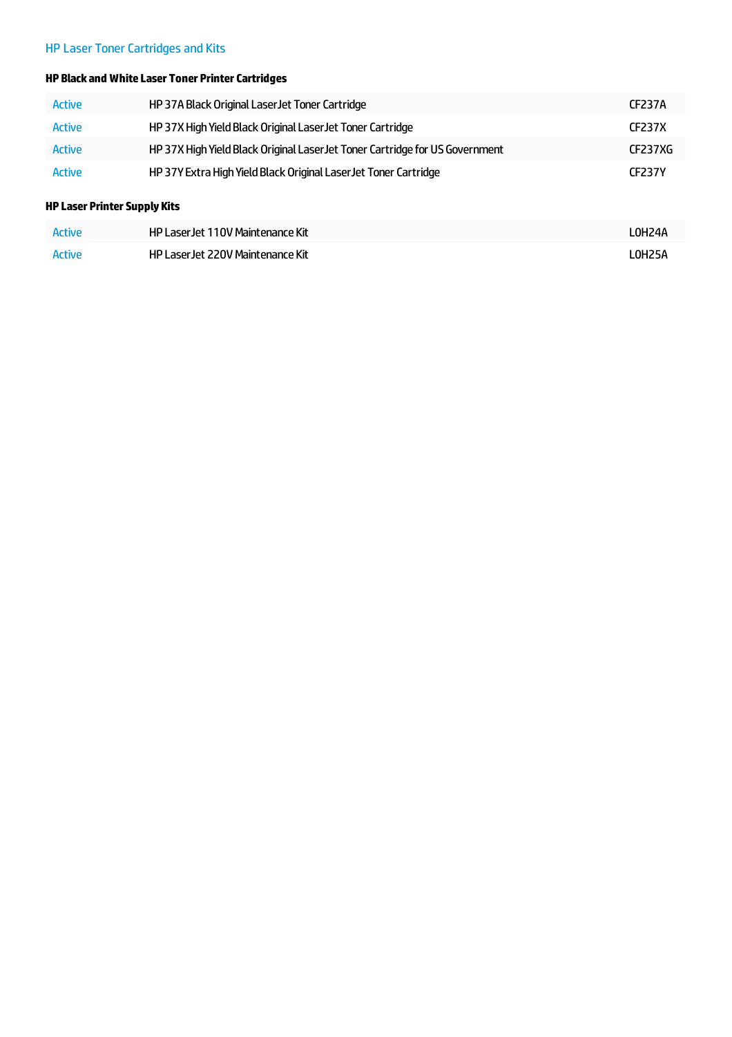# HP Laser Toner Cartridges and Kits

### **HP Black andWhiteLaser Toner PrinterCartridges**

| <b>Active</b> | HP 37A Black Original Laser Jet Toner Cartridge                              | <b>CF237A</b> |
|---------------|------------------------------------------------------------------------------|---------------|
| Active        | HP 37X High Yield Black Original Laser Jet Toner Cartridge                   | <b>CF237X</b> |
| <b>Active</b> | HP 37X High Yield Black Original Laser Jet Toner Cartridge for US Government | CF237XG       |
| <b>Active</b> | HP 37Y Extra High Yield Black Original Laser Jet Toner Cartridge             | <b>CF237Y</b> |

### **HP Laser PrinterSupply Kits**

| <b>Active</b> | HP Laser Jet 110V Maintenance Kit | LOH24A |
|---------------|-----------------------------------|--------|
| Active        | HP Laser Jet 220V Maintenance Kit | LOH25A |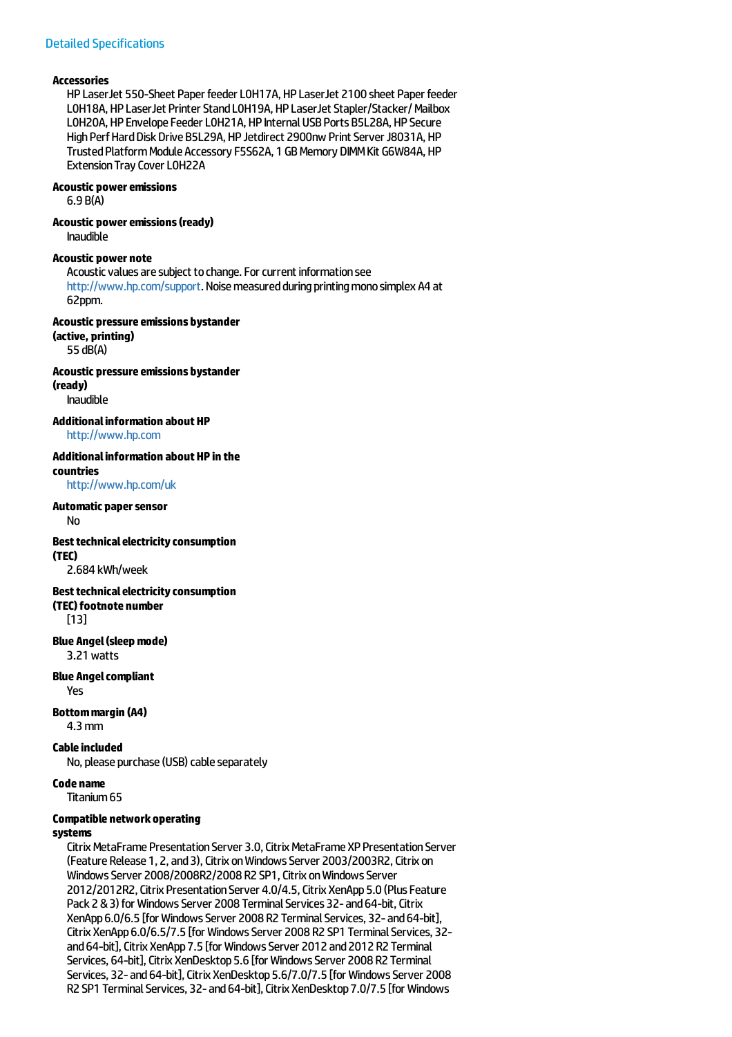#### **Accessories**

HP LaserJet 550-Sheet Paper feeder L0H17A, HP LaserJet 2100 sheet Paper feeder L0H18A, HP LaserJet Printer Stand L0H19A, HP LaserJet Stapler/Stacker/Mailbox L0H20A, HP Envelope Feeder L0H21A, HP Internal USB Ports B5L28A, HP Secure High Perf Hard Disk Drive B5L29A, HP Jetdirect 2900nw Print Server J8031A, HP Trusted Platform Module Accessory F5S62A, 1 GB Memory DIMM Kit G6W84A, HP Extension Tray Cover LOH22A

### **Acoustic poweremissions**

6.9 B(A)

### **Acoustic power emissions (ready)**

Inaudible

#### **Acoustic power note**

Acoustic values are subject to change. For current information see <http://www.hp.com/support>. Noise measured during printing mono simplex A4 at 62ppm.

**Acoustic pressure emissions bystander (active, printing)** 55 dB(A)

**Acoustic pressure emissions bystander (ready)**

Inaudible

**Additionalinformation aboutHP** <http://www.hp.com>

#### **Additionalinformation aboutHP in the countries**

<http://www.hp.com/uk>

#### **Automatic papersensor**

No

#### **Best technical electricity consumption**

**(TEC)** 2.684 kWh/week

### **Best technical electricity consumption**

**(TEC)footnote number**

[13]

# **Blue Angel(sleepmode)**

3.21watts

#### **Blue Angelcompliant**

Yes

#### **Bottommargin (A4)** 4.3mm

### **Cable included**

No, please purchase (USB) cable separately

**Code name**

Titanium65

### **Compatible networkoperating**

#### **systems**

Citrix MetaFrame Presentation Server 3.0, Citrix MetaFrame XP Presentation Server (Feature Release 1, 2, and 3), Citrix on Windows Server 2003/2003R2, Citrix on Windows Server 2008/2008R2/2008 R2 SP1, Citrix on Windows Server 2012/2012R2, Citrix Presentation Server 4.0/4.5, Citrix XenApp 5.0 (Plus Feature Pack 2 & 3) for Windows Server 2008 Terminal Services 32- and 64-bit, Citrix XenApp 6.0/6.5 [for Windows Server 2008 R2 Terminal Services, 32- and 64-bit], Citrix XenApp 6.0/6.5/7.5 [for Windows Server 2008 R2 SP1 Terminal Services, 32and 64-bit], Citrix XenApp 7.5 [for Windows Server 2012 and 2012 R2 Terminal Services, 64-bit], Citrix XenDesktop 5.6 [for Windows Server 2008 R2 Terminal Services, 32- and 64-bit], Citrix XenDesktop 5.6/7.0/7.5 [for Windows Server 2008 R2 SP1 Terminal Services, 32- and 64-bit], Citrix XenDesktop 7.0/7.5 [for Windows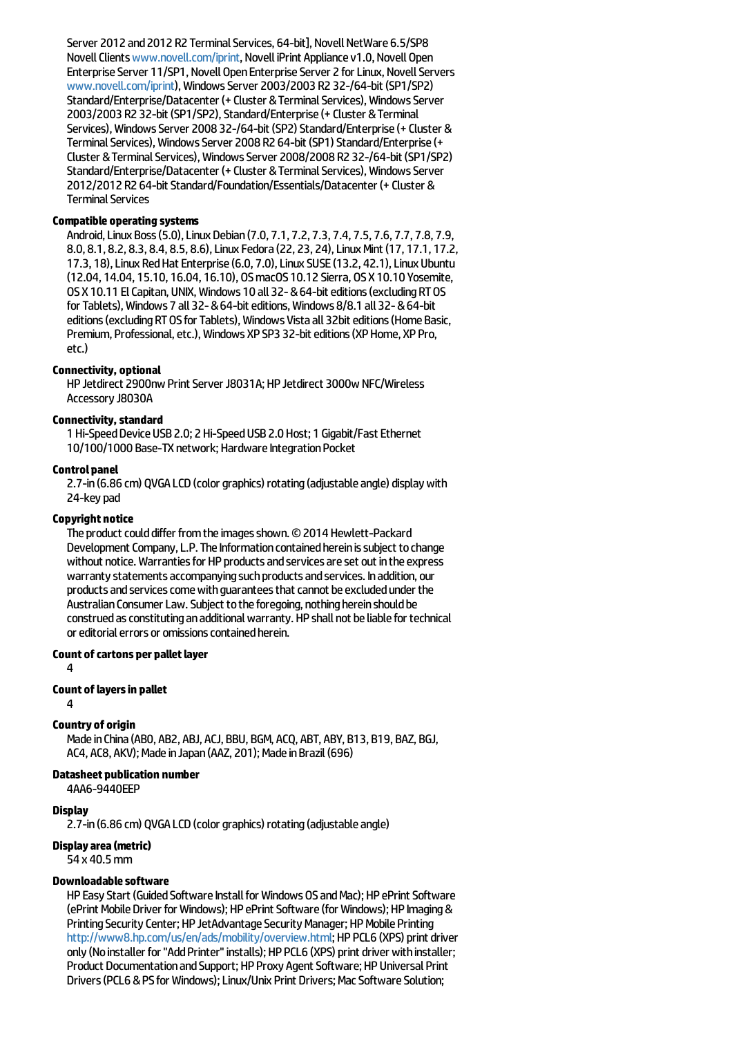Server 2012 and 2012 R2 Terminal Services, 64-bit], Novell NetWare 6.5/SP8 Novell Clients [www.novell.com/iprint](http://www.novell.com/iprint), Novell iPrint Appliance v1.0, Novell Open Enterprise Server 11/SP1, Novell Open Enterprise Server 2 for Linux, Novell Servers [www.novell.com/iprint](http://www.novell.com/iprint)),WindowsServer 2003/2003 R2 32-/64-bit(SP1/SP2) Standard/Enterprise/Datacenter (+ Cluster & Terminal Services), Windows Server 2003/2003 R2 32-bit (SP1/SP2), Standard/Enterprise (+ Cluster & Terminal Services), Windows Server 2008 32-/64-bit (SP2) Standard/Enterprise (+ Cluster & Terminal Services), Windows Server 2008 R2 64-bit (SP1) Standard/Enterprise (+ Cluster & Terminal Services), Windows Server 2008/2008 R2 32-/64-bit (SP1/SP2) Standard/Enterprise/Datacenter (+ Cluster & Terminal Services), Windows Server 2012/2012 R2 64-bit Standard/Foundation/Essentials/Datacenter (+ Cluster & **Terminal Services** 

### **Compatible operating systems**

Android,Linux Boss(5.0),Linux Debian(7.0, 7.1, 7.2, 7.3, 7.4, 7.5, 7.6, 7.7, 7.8, 7.9, 8.0, 8.1, 8.2, 8.3, 8.4, 8.5, 8.6),LinuxFedora(22, 23, 24),LinuxMint(17, 17.1, 17.2, 17.3, 18), Linux Red Hat Enterprise (6.0, 7.0), Linux SUSE (13.2, 42.1), Linux Ubuntu (12.04, 14.04, 15.10, 16.04, 16.10), OSmacOS10.12 Sierra, OSX10.10 Yosemite, OSX10.11 ElCapitan, UNIX,Windows 10 all 32-&64-biteditions(excludingRTOS for Tablets), Windows 7 all 32- & 64-bit editions, Windows 8/8.1 all 32- & 64-bit editions (excluding RT OS for Tablets), Windows Vista all 32bit editions (Home Basic, Premium, Professional, etc.), Windows XP SP3 32-bit editions (XP Home, XP Pro, etc.)

#### **Connectivity, optional**

HP Jetdirect 2900nw Print Server J8031A; HP Jetdirect 3000w NFC/Wireless Accessory J8030A

#### **Connectivity, standard**

1 Hi-Speed Device USB 2.0; 2 Hi-Speed USB 2.0 Host; 1 Gigabit/Fast Ethernet 10/100/1000 Base-TX network; Hardware Integration Pocket

#### **Controlpanel**

2.7-in (6.86 cm) QVGA LCD (color graphics) rotating (adjustable angle) display with 24-key pad

#### **Copyright notice**

The product could differ from the images shown. © 2014 Hewlett-Packard Development Company, L.P. The Information contained herein is subject to change without notice. Warranties for HP products and services are set out in the express warranty statements accompanying such products and services. In addition, our products and services come with guarantees that cannot be excluded under the Australian Consumer Law. Subject to the foregoing, nothing herein should be construed as constituting an additional warranty. HP shall not be liable for technical or editorial errors or omissions contained herein.

#### **Count of cartons per pallet layer**

4

### **Count oflayersin pallet**

4

#### **Country of origin**

Made in China (ABO, AB2, ABJ, ACJ, BBU, BGM, ACQ, ABT, ABY, B13, B19, BAZ, BGJ, AC4, AC8, AKV): Made in Japan (AAZ, 201): Made in Brazil (696)

### **Datasheet publication number**

4AA6-9440EEP

#### **Display**

2.7-in (6.86 cm) QVGA LCD (color graphics) rotating (adjustable angle)

#### **Displayarea(metric)**

54 x 40.5mm

#### **Downloadablesoftware**

HP Easy Start (Guided Software Install for Windows OS and Mac); HP ePrint Software (ePrint Mobile Driver for Windows); HP ePrint Software (for Windows); HP Imaging & Printing Security Center; HP JetAdvantage Security Manager; HP Mobile Printing [http://www8.hp.com/us/en/ads/mobility/overview.html;](http://www8.hp.com/us/en/ads/mobility/overview.html) HP PCL6 (XPS) print driver only (No installer for "Add Printer" installs); HP PCL6 (XPS) print driver with installer; Product Documentation and Support; HP Proxy Agent Software; HP Universal Print Drivers (PCL6 & PS for Windows); Linux/Unix Print Drivers; Mac Software Solution: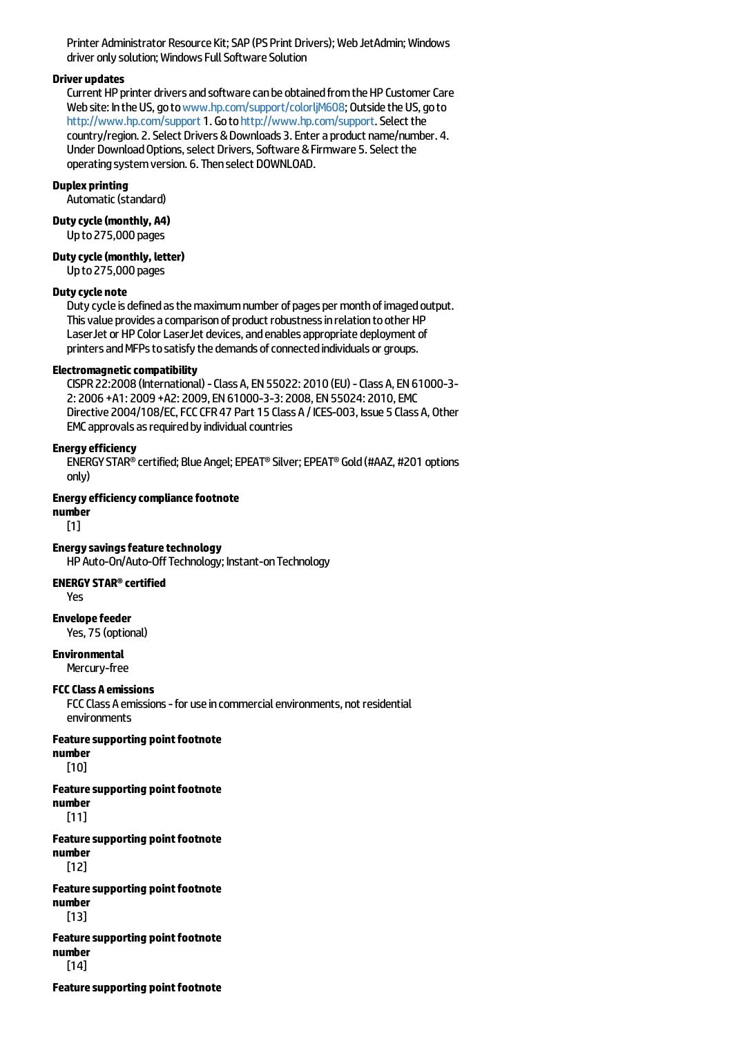Printer Administrator Resource Kit; SAP (PS Print Drivers); Web JetAdmin; Windows driver only solution; Windows Full Software Solution

#### **Driver updates**

Current HP printer drivers and software can be obtained from the HP Customer Care Web site: In the US, go to [www.hp.com/support/colorljM608](http://www.hp.com/support/colorljM608); Outside the US, go to <http://www.hp.com/support> 1. Go to http://www.hp.com/support. Select the country/region. 2. Select Drivers & Downloads 3. Enter a product name/number. 4. Under Download Options, select Drivers, Software & Firmware 5. Select the operating system version. 6. Then select DOWNLOAD.

#### **Duplex printing**

Automatic(standard)

#### **Dutycycle(monthly, A4)**

Upto275,000 pages

**Dutycycle(monthly, letter)**

Upto275,000 pages

#### **Dutycycle note**

Duty cycle is defined as the maximum number of pages per month of imaged output. This value provides a comparison of product robustness in relation to other HP LaserJet or HP Color LaserJet devices, and enables appropriate deployment of printers and MFPs to satisfy the demands of connected individuals or groups.

#### **Electromagnetic compatibility**

CISPR22:2008 (International)-ClassA,EN55022: 2010 (EU)-ClassA,EN61000-3- 2: 2006 +A1: 2009 +A2: 2009,EN61000-3-3: 2008,EN55024: 2010,EMC Directive 2004/108/EC, FCC CFR 47 Part 15 Class A / ICES-003, Issue 5 Class A, Other EMC approvals as required by individual countries

#### **Energyefficiency**

ENERGYSTAR®certified; Blue Angel;EPEAT®Silver;EPEAT® Gold(#AAZ, #201 options only)

#### **Energy efficiency compliance footnote**

**number**

[1]

**Energy savings feature technology** 

HP Auto-On/Auto-Off Technology; Instant-on Technology

#### **ENERGY STAR®certified**

Yes

**Envelopefeeder**

Yes, 75 (optional)

**Environmental**

Mercury-free

### **FCCClass A emissions**

FCC Class A emissions - for use in commercial environments, not residential environments

**Featuresupporting pointfootnote number**

[10]

#### **Featuresupporting pointfootnote number**

[11]

#### **Feature supporting point footnote number**

[12]

### **Feature supporting point footnote number**

[13]

### **Featuresupporting pointfootnote number**

[14]

**Feature supporting point footnote**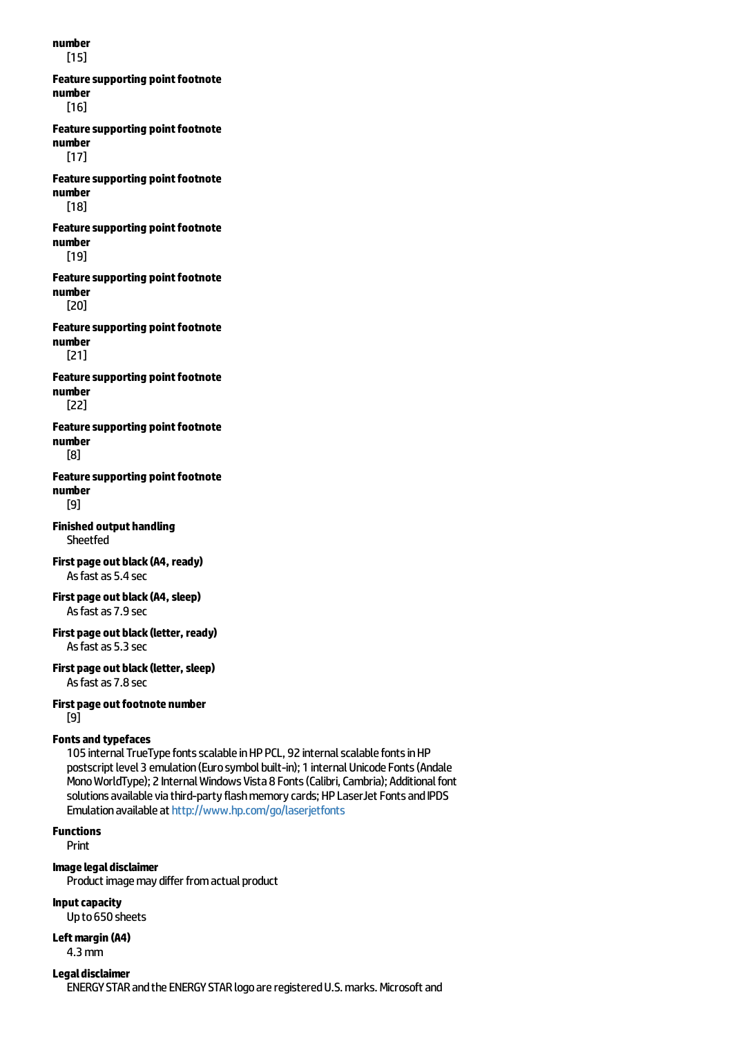**number** [15] **Featuresupporting pointfootnote number** [16] **Feature supporting point footnote number** [17] **Feature supporting point footnote number** [18] **Feature supporting point footnote number** [19] **Featuresupporting pointfootnote number** [20] **Feature supporting point footnote number** [21] **Feature supporting point footnote number** [22] **Feature supporting point footnote number** [8] **Feature supporting point footnote number** [9] **Finished output handling** Sheetfed **First page out black(A4, ready)** As fast as 5.4 sec **First page out black(A4,sleep)** Asfastas 7.9 sec **First page out black(letter, ready)** Asfastas 5.3 sec **First page out black(letter,sleep)** Asfastas 7.8 sec **First page outfootnote number** [9] **Fontsand typefaces** 105 internal TrueType fonts scalable in HP PCL, 92 internal scalable fonts in HP postscript level 3 emulation (Euro symbol built-in); 1 internal Unicode Fonts (Andale Mono WorldType); 2 Internal Windows Vista 8 Fonts (Calibri, Cambria); Additional font solutions available via third-party flash memory cards; HP LaserJet Fonts and IPDS Emulation available at <http://www.hp.com/go/laserjetfonts>

**Functions**

Print

**Imagelegaldisclaimer**

Product image may differ from actual product

**Inputcapacity**

Upto650 sheets

**Leftmargin (A4)** 4.3mm

**Legal disclaimer** 

ENERGY STAR and the ENERGY STAR logo are registered U.S. marks. Microsoft and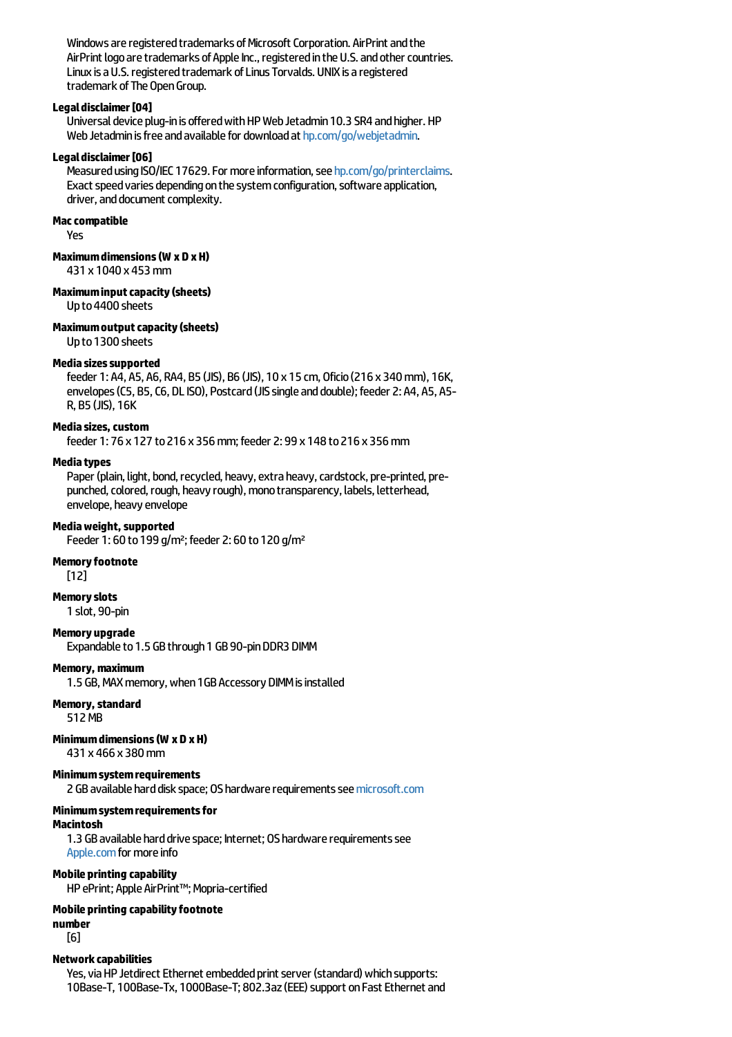Windows are registered trademarks of Microsoft Corporation. AirPrint and the AirPrint logo are trademarks of Apple Inc., registered in the U.S. and other countries. Linux is a U.S. registered trademark of Linus Torvalds. UNIX is a registered trademark of The Open Group.

#### **Legaldisclaimer[04]**

Universal device plug-in is offered with HP Web Jetadmin 10.3 SR4 and higher. HP Web Jetadmin is free and available for download at [hp.com/go/webjetadmin](http://hp.com/go/webjetadmin).

#### Legal disclaimer [06]

Measured using ISO/IEC 17629. For more information, see [hp.com/go/printerclaims](http://hp.com/go/printerclaims). Exact speed varies depending on the system configuration, software application, driver, and document complexity.

### **Maccompatible**

Yes

#### **Maximumdimensions(W xD xH)**

431 x 1040 x 453mm

### **Maximuminputcapacity(sheets)**

Upto4400 sheets

#### **Maximumoutputcapacity(sheets)**

Upto1300 sheets

#### **Mediasizessupported**

feeder 1: A4, A5, A6, RA4, B5 (JIS), B6 (JIS), 10 x 15 cm, Oficio(216 x 340mm), 16K, envelopes (C5, B5, C6, DL ISO), Postcard (JIS single and double); feeder 2: A4, A5, A5-R, B5 (JIS), 16K

#### **Mediasizes,custom**

feeder 1: 76 x 127 to216 x 356mm;feeder 2: 99 x 148 to216 x 356mm

#### **Mediatypes**

Paper (plain, light, bond, recycled, heavy, extra heavy, cardstock, pre-printed, prepunched, colored, rough, heavy rough), mono transparency, labels, letterhead, envelope, heavy envelope

#### **Mediaweight,supported**

Feeder 1: 60 to 199 g/m<sup>2</sup>; feeder 2: 60 to 120 g/m<sup>2</sup>

#### **Memory footnote**

[12]

#### **Memoryslots**

1 slot, 90-pin

#### **Memory upgrade**

Expandable to 1.5 GB through 1 GB 90-pin DDR3 DIMM

#### **Memory, maximum**

1.5 GB, MAX memory, when 1GB Accessory DIMM is installed

#### **Memory,standard**

512MB

#### **Minimumdimensions(W x D xH)**

431 x 466 x 380mm

### **Minimumsystemrequirements**

2 GB available hard disk space; OS hardware requirements see [microsoft.com](http://microsoft.com)

#### **Minimumsystemrequirementsfor**

#### **Macintosh**

1.3 GB available hard drive space; Internet; OS hardware requirements see [Apple.com](http://apple.com) for more info

#### **Mobile printing capability**

HP ePrint; Apple AirPrint™; Mopria-certified

### **Mobile printing capabilityfootnote**

**number** [6]

#### **Networkcapabilities**

Yes, via HP Jetdirect Ethernet embedded print server (standard) which supports: 10Base-T, 100Base-Tx, 1000Base-T; 802.3az (EEE) support on Fast Ethernet and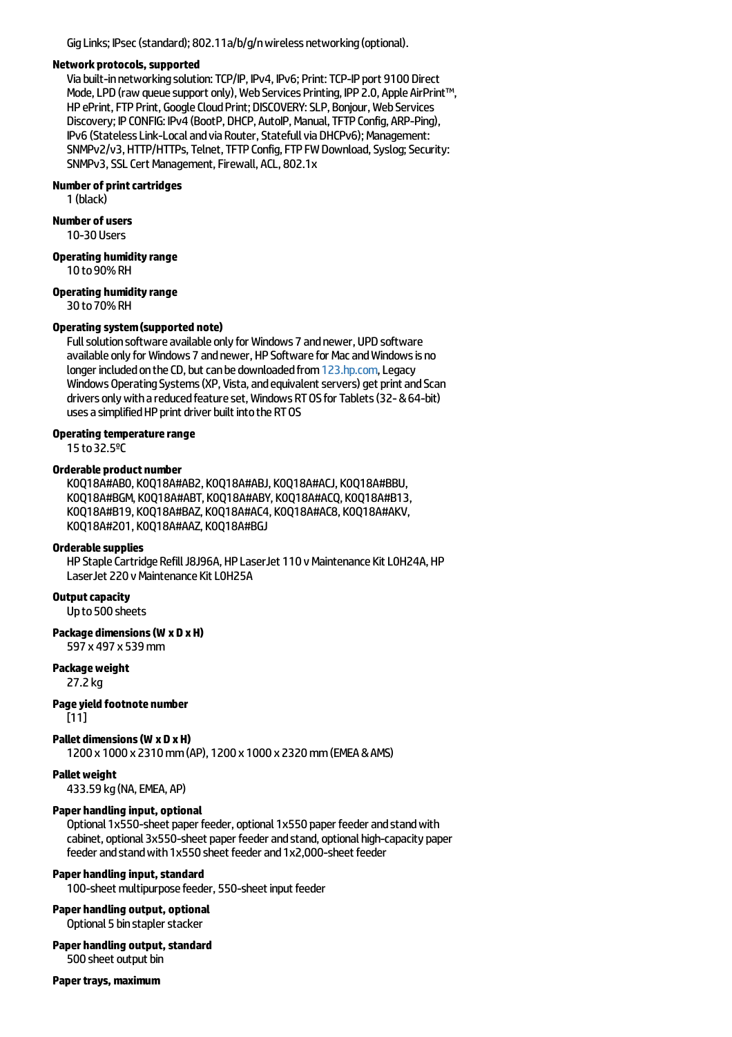Gig Links; IPsec (standard); 802.11a/b/g/n wireless networking (optional).

#### **Networkprotocols,supported**

Viabuilt-innetworkingsolution:TCP/IP, IPv4, IPv6; Print:TCP-IP port 9100 Direct Mode, LPD (raw queue support only), Web Services Printing, IPP 2.0, Apple AirPrint™, HP ePrint, FTP Print, Google Cloud Print; DISCOVERY: SLP, Bonjour, Web Services Discovery; IP CONFIG: IPv4 (BootP, DHCP, AutoIP, Manual, TFTP Config, ARP-Ping), IPv6 (Stateless Link-Local and via Router, Statefull via DHCPv6); Management: SNMPv2/v3, HTTP/HTTPs, Telnet, TFTP Config, FTP FW Download, Syslog; Security: SNMPv3, SSL Cert Management, Firewall, ACL, 802.1x

#### **Number of printcartridges**

1 (black)

#### **Number of users**

10-30 Users

#### **Operating humidityrange**

10 to90%RH

# **Operating humidityrange**

30 to 70% RH

#### **Operating system(supported note)**

Full solution software available only for Windows 7 and newer, UPD software available only for Windows 7 and newer, HP Software for Mac and Windows is no longer included on the CD, but can be downloaded from [123.hp.com](http://123.hp.com), Legacy Windows Operating Systems (XP, Vista, and equivalent servers) get print and Scan drivers only with a reduced feature set, Windows RT OS for Tablets (32- & 64-bit) uses a simplified HP print driver built into the RT OS

#### **Operating temperature range**

15 to32.5ºC

#### **Orderable product number**

K0Q18A#AB0, K0Q18A#AB2, K0Q18A#ABJ, K0Q18A#ACJ, K0Q18A#BBU, K0Q18A#BGM, K0Q18A#ABT, K0Q18A#ABY, K0Q18A#ACQ, K0Q18A#B13, K0Q18A#B19, K0Q18A#BAZ, K0Q18A#AC4, K0Q18A#AC8, K0Q18A#AKV, K0Q18A#201, K0Q18A#AAZ, K0Q18A#BGJ

#### **Orderablesupplies**

HP Staple Cartridge Refill J8J96A, HP LaserJet 110 v Maintenance Kit L0H24A, HP LaserJet 220 v Maintenance Kit L0H25A

**Output capacity** 

Up to 500 sheets

### **Package dimensions(W x D xH)**

597 x 497 x 539mm

### **Packageweight**

27.2 kg

### **Pageyield footnote number**

[11]

#### **Pallet dimensions(W xD xH)**

1200 x 1000 x 2310mm(AP), 1200 x 1000 x 2320mm(EMEA&AMS)

#### **Palletweight**

433.59 kg(NA,EMEA, AP)

### **Paper handling input, optional**

Optional 1x550-sheet paper feeder, optional 1x550 paper feeder and stand with cabinet, optional 3x550-sheet paper feeder and stand, optional high-capacity paper feeder and stand with 1x550 sheet feeder and 1x2,000-sheet feeder

#### **Paper handling input, standard**

100-sheet multipurpose feeder, 550-sheet input feeder

#### **Paper handling output, optional** Optional 5 bin stapler stacker

### **Paper handling output, standard**

500 sheet output bin

**Paper travs, maximum**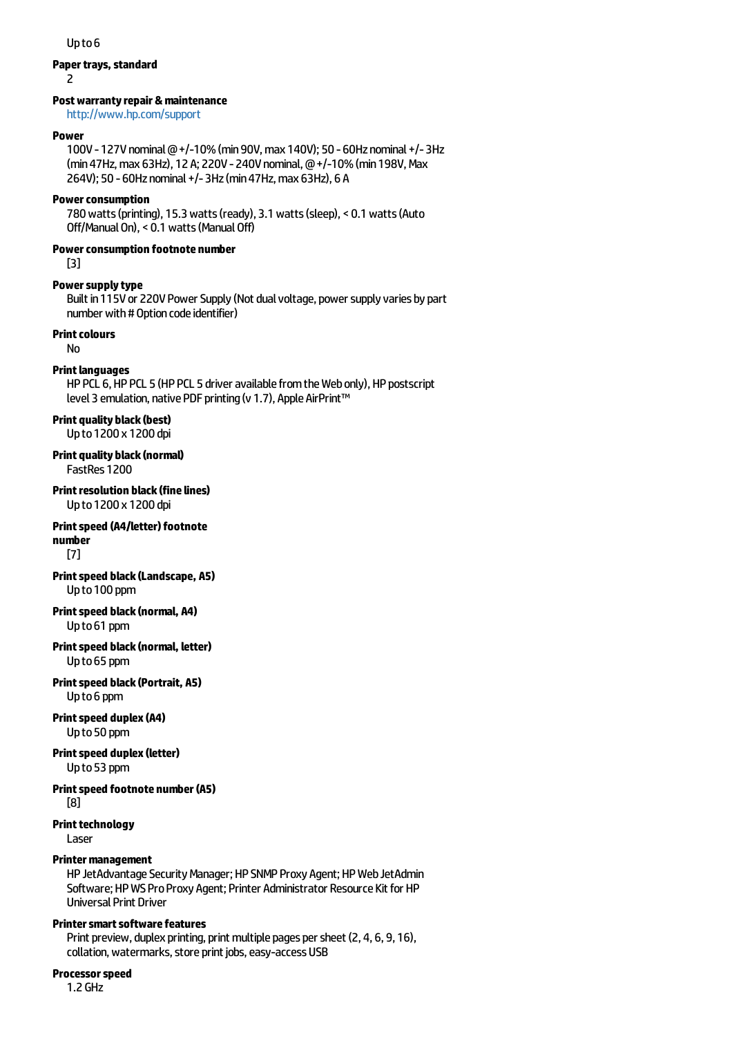#### Up<sub>to</sub><sub>6</sub>

#### **Paper trays, standard**

 $\overline{\phantom{0}}$ 

#### **Postwarrantyrepair&maintenance**

<http://www.hp.com/support>

#### **Power**

100V - 127V nominal @ +/-10% (min 90V, max 140V); 50 - 60Hz nominal +/- 3Hz (min 47Hz, max 63Hz), 12 A; 220V - 240V nominal, @ +/-10% (min 198V, Max 264V); 50 - 60Hz nominal +/-3Hz (min 47Hz, max 63Hz), 6 A

#### **Power consumption**

780watts(printing), 15.3watts(ready), 3.1watts(sleep), < 0.1watts(Auto Off/Manual On), < 0.1 watts (Manual Off)

### **Powerconsumption footnote number**

[3]

#### **Power supply type**

Built in 115V or 220V Power Supply (Not dual voltage, power supply varies by part number with # Option code identifier)

#### **Print colours**

No

#### **Print languages**

HP PCL 6, HP PCL 5 (HP PCL 5 driver available from the Web only), HP postscript level 3 emulation, native PDF printing (v 1.7), Apple AirPrint™

#### **Print quality black (best)** Upto1200 x 1200 dpi

**Print quality black (normal)**

FastRes 1200

**Print resolution black (fine lines)** Upto1200 x 1200 dpi

#### **Print speed (A4/letter) footnote number**

[7]

**Printspeed black(Landscape, A5)** Upto100 ppm

#### **Printspeed black(normal, A4)** Upto61 ppm

**Printspeed black(normal, letter)** Upto65 ppm

#### **Printspeed black(Portrait, A5)** Upto6 ppm

#### **Print speed duplex (A4)** Upto50 ppm

#### **Printspeed duplex(letter)** Upto53 ppm

#### **Printspeed footnote number(A5)** [8]

**Print technology** 

Laser

#### **Printer management**

HP JetAdvantage Security Manager; HP SNMP Proxy Agent; HP Web JetAdmin Software; HP WS Pro Proxy Agent; Printer Administrator Resource Kit for HP Universal Print Driver

### **Printer smart software features**

Print preview, duplex printing, print multiple pages per sheet (2, 4, 6, 9, 16), collation, watermarks, store print jobs, easy-access USB

#### **Processorspeed**

1.2 GHz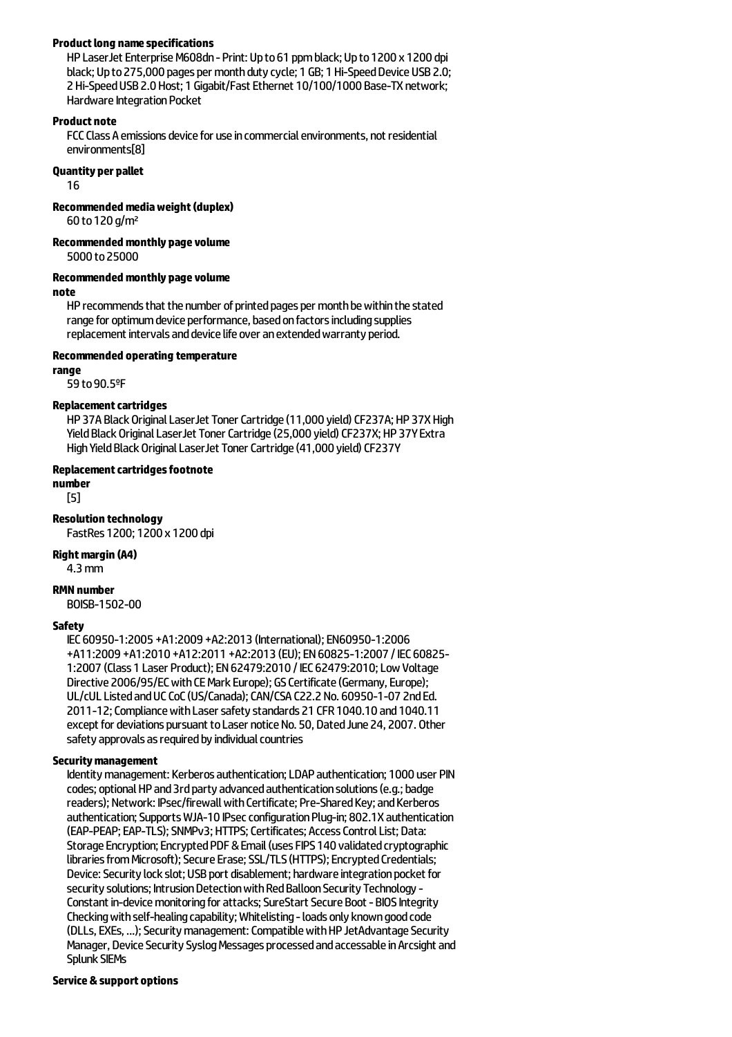### **Productlong namespecifications**

HP LaserJet Enterprise M608dn - Print: Up to 61 ppm black; Up to 1200 x 1200 dpi black; Up to 275,000 pages per month duty cycle; 1 GB; 1 Hi-Speed Device USB 2.0; 2 Hi-Speed USB 2.0 Host; 1 Gigabit/Fast Ethernet 10/100/1000 Base-TX network; Hardware Integration Pocket

#### **Product note**

FCC Class A emissions device for use in commercial environments, not residential environments[8]

#### **Quantity per pallet**

16

**Recommendedmediaweight(duplex)**

60 to120 g/m²

**Recommendedmonthly pagevolume**

5000 to25000

### **Recommendedmonthly pagevolume**

**note**

HP recommends that the number of printed pages per month be within the stated range for optimum device performance, based on factors including supplies replacement intervals and device life over an extended warranty period.

#### **Recommended operating temperature**

#### **range**

59 to90.5ºF

#### **Replacement cartridges**

HP 37A Black Original LaserJet Toner Cartridge (11,000 yield) CF237A; HP 37X High Yield Black Original LaserJet Toner Cartridge (25,000 yield) CF237X; HP 37Y Extra High Yield Black Original LaserJet Toner Cartridge (41,000 yield) CF237Y

#### **Replacement cartridges footnote**

## **number**

[5]

### **Resolution technology**

FastRes 1200; 1200 x 1200 dpi

#### **Right margin (A4)**

4.3mm

#### **RMN number**

BOISB-1502-00

#### **Safety**

IEC60950-1:2005 +A1:2009 +A2:2013 (International);EN60950-1:2006 +A11:2009 +A1:2010 +A12:2011 +A2:2013 (EU);EN60825-1:2007 /IEC60825- 1:2007 (Class 1 Laser Product);EN62479:2010 /IEC62479:2010;LowVoltage Directive 2006/95/EC with CE Mark Europe); GS Certificate (Germany, Europe); UL/cULListedandUCCoC(US/Canada);CAN/CSA C22.2 No. 60950-1-07 2ndEd. 2011-12; Compliance with Laser safety standards 21 CFR 1040.10 and 1040.11 except for deviations pursuant to Laser notice No. 50, Dated June 24, 2007. Other safety approvals as required by individual countries

#### **Securitymanagement**

Identity management: Kerberos authentication; LDAP authentication; 1000 user PIN codes; optional HP and 3rd party advanced authentication solutions (e.g.; badge readers); Network: IPsec/firewall with Certificate; Pre-Shared Key; and Kerberos authentication; Supports WJA-10 IPsec configuration Plug-in; 802.1X authentication (EAP-PEAP; EAP-TLS); SNMPv3; HTTPS; Certificates; Access Control List; Data: Storage Encryption: Encrypted PDF & Email (uses FIPS 140 validated cryptographic libraries from Microsoft); Secure Erase; SSL/TLS (HTTPS); Encrypted Credentials; Device: Security lock slot; USB port disablement; hardware integration pocket for security solutions: Intrusion Detection with Red Balloon Security Technology -Constant in-device monitoring for attacks; SureStart Secure Boot - BIOS Integrity Checking with self-healing capability; Whitelisting - loads only known good code (DLLs, EXEs, ...); Security management: Compatible with HP JetAdvantage Security Manager, Device Security Syslog Messages processed and accessable in Arcsight and Splunk SIEMs

#### **Service& support options**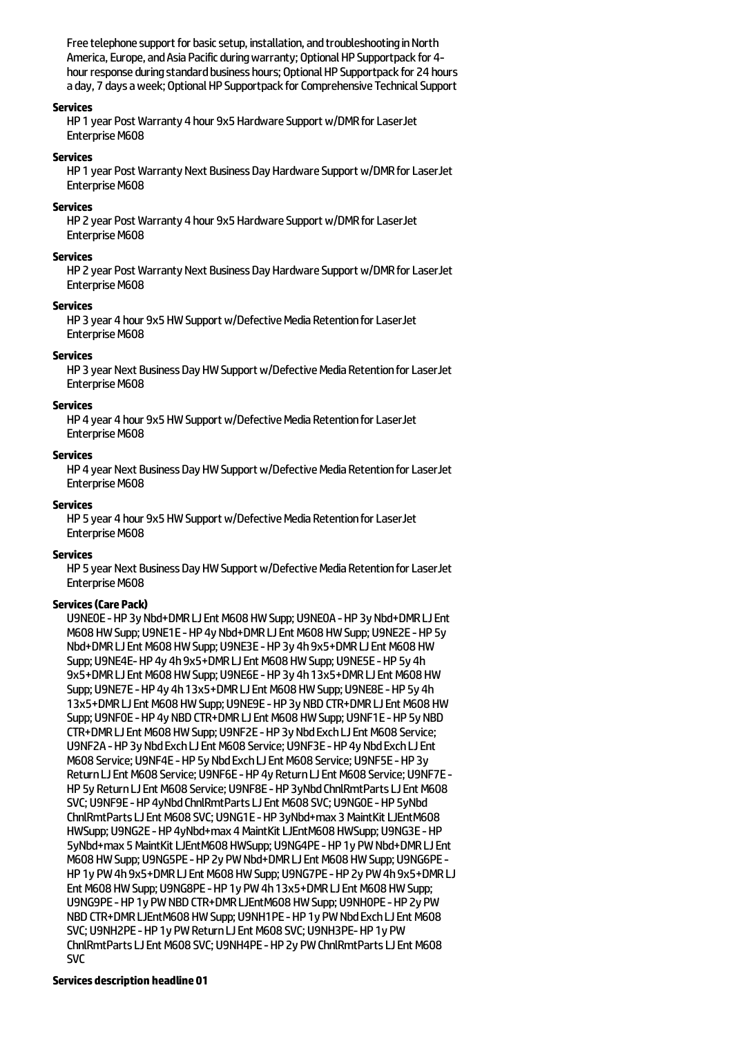Free telephone support for basic setup, installation, and troubleshooting in North America, Europe, and Asia Pacific during warranty; Optional HP Supportpack for 4hour response during standard business hours; Optional HP Supportpack for 24 hours a day, 7 days a week; Optional HP Supportpack for Comprehensive Technical Support

#### **Services**

HP 1 year Post Warranty 4 hour 9x5 Hardware Support w/DMR for LaserJet Enterprise M608

#### **Services**

HP 1 year Post Warranty Next Business Day Hardware Support w/DMR for LaserJet Enterprise M608

#### **Services**

HP 2 year Post Warranty 4 hour 9x5 Hardware Support w/DMR for LaserJet Enterprise M608

#### **Services**

HP 2 year Post Warranty Next Business Day Hardware Support w/DMR for LaserJet Enterprise M608

### **Services**

HP 3 year 4 hour 9x5 HW Support w/Defective Media Retention for LaserJet Enterprise M608

### **Services**

HP 3 year Next Business Day HW Support w/Defective Media Retention for LaserJet Enterprise M608

#### **Services**

HP 4 year 4 hour 9x5 HW Support w/Defective Media Retention for LaserJet Enterprise M608

#### **Services**

HP 4 year Next Business Day HW Support w/Defective Media Retention for LaserJet Enterprise M608

#### **Services**

HP 5 year 4 hour 9x5 HW Support w/Defective Media Retention for LaserJet Enterprise M608

### **Services**

HP 5 year Next Business Day HW Support w/Defective Media Retention for LaserJet Enterprise M608

### **Services(Care Pack)**

U9NE0E - HP 3y Nbd+DMR LJ Ent M608 HW Supp: U9NE0A - HP 3y Nbd+DMR LJ Ent M608 HW Supp; U9NE1E - HP 4y Nbd+DMR LJ Ent M608 HW Supp; U9NE2E - HP 5y Nbd+DMR LJ Ent M608 HW Supp; U9NE3E - HP 3y 4h 9x5+DMR LJ Ent M608 HW Supp; U9NE4E-HP 4y 4h 9x5+DMR LJ Ent M608 HW Supp; U9NE5E - HP 5y 4h 9x5+DMR LJ Ent M608 HW Supp; U9NE6E - HP 3y 4h 13x5+DMR LJ Ent M608 HW Supp; U9NE7E - HP 4y 4h 13x5+DMR LJ Ent M608 HW Supp; U9NE8E - HP 5y 4h 13x5+DMR LJ Ent M608 HW Supp; U9NE9E - HP 3y NBD CTR+DMR LJ Ent M608 HW Supp; U9NF0E - HP 4y NBD CTR+DMR LJ Ent M608 HW Supp; U9NF1E - HP 5y NBD CTR+DMR LJ Ent M608 HW Supp; U9NF2E - HP 3y Nbd Exch LJ Ent M608 Service; U9NF2A - HP 3y Nbd Exch LJ Ent M608 Service; U9NF3E - HP 4y Nbd Exch LJ Ent M608 Service; U9NF4E - HP 5y Nbd Exch LJ Ent M608 Service; U9NF5E - HP 3y Return LJ Ent M608 Service; U9NF6E - HP 4y Return LJ Ent M608 Service; U9NF7E -HP 5y Return LJ Ent M608 Service; U9NF8E - HP 3yNbd ChnlRmtParts LJ Ent M608 SVC; U9NF9E - HP 4yNbd ChnlRmtParts LJ Ent M608 SVC; U9NG0E - HP 5yNbd ChnlRmtParts LJ Ent M608 SVC; U9NG1E - HP 3yNbd+max 3 MaintKit LJEntM608 HWSupp; U9NG2E-HP 4yNbd+max 4MaintKitLJEntM608 HWSupp; U9NG3E-HP 5yNbd+max 5MaintKitLJEntM608 HWSupp; U9NG4PE-HP 1y PWNbd+DMRLJEnt M608 HW Supp; U9NG5PE - HP 2y PW Nbd+DMR LJ Ent M608 HW Supp; U9NG6PE -HP 1y PW 4h 9x5+DMR LJ Ent M608 HW Supp; U9NG7PE - HP 2y PW 4h 9x5+DMR LJ Ent M608 HW Supp: U9NG8PE - HP 1y PW 4h 13x5+DMR LJ Ent M608 HW Supp: U9NG9PE-HP 1y PWNBDCTR+DMRLJEntM608 HWSupp; U9NH0PE-HP 2y PW NBD CTR+DMR LJEntM608 HW Supp; U9NH1PE - HP 1y PW Nbd Exch LJ Ent M608 SVC; U9NH2PE - HP 1y PW Return LJ Ent M608 SVC; U9NH3PE- HP 1y PW ChnlRmtParts LJ Ent M608 SVC; U9NH4PE - HP 2y PW ChnlRmtParts LJ Ent M608 SVC

#### **Services description headline 01**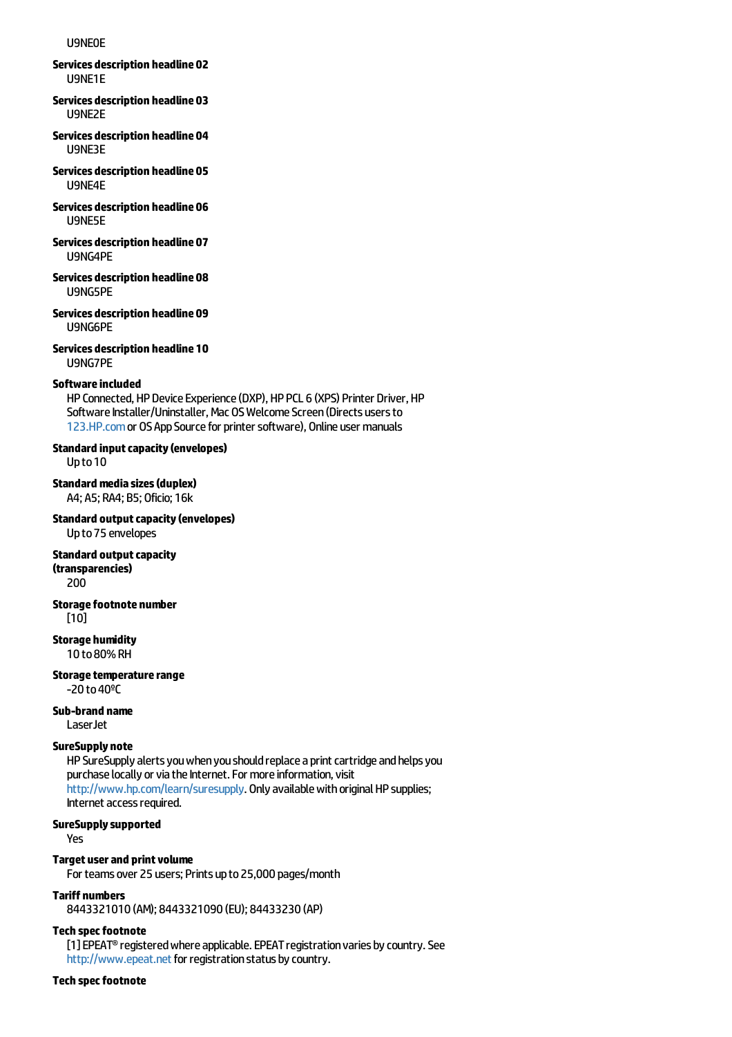#### U9NE0E

**Services description headline 02** U9NE1E

- **Services description headline 03** U9NE2E
- **Services description headline 04** U9NE3E
- **Services description headline 05** U9NE4E
- **Services description headline 06** U9NE5E
- **Services description headline 07** U9NG4PE
- **Services description headline 08** U9NG5PE
- **Services description headline 09** U9NG6PE
- **Services description headline 10** U9NG7PE

#### **Software included**

HP Connected, HP Device Experience (DXP), HP PCL 6 (XPS) Printer Driver, HP Software Installer/Uninstaller, Mac OS Welcome Screen (Directs users to [123.HP.com](http://123.hp.com) or OS App Source for printer software), Online user manuals

### **Standard inputcapacity(envelopes)**

Upto10

- **Standardmediasizes(duplex)** A4; A5; RA4; B5; Oficio; 16k
- **Standard outputcapacity(envelopes)** Upto75 envelopes

### **Standard output capacity**

**(transparencies)**

200

# **Storagefootnote number**

[10]

### **Storage humidity**

10 to80%RH

**Storage temperature range**  $-20$  to  $40$ <sup>o</sup>C

#### **Sub-brand name**

LaserJet

### **SureSupply note**

HP SureSupply alerts you when you should replace a print cartridge and helps you purchase locally or via the Internet. For more information, visit <http://www.hp.com/learn/suresupply>. Only available with original HP supplies; Internet access required.

#### **SureSupplysupported**

Yes

#### **Target user and print volume**

For teams over 25 users; Prints up to 25,000 pages/month

### **Tariff numbers**

8443321010 (AM); 8443321090 (EU); 84433230 (AP)

#### **Tech specfootnote**

[1] EPEAT<sup>®</sup> registered where applicable. EPEAT registration varies by country. See <http://www.epeat.net> for registration status by country.

#### **Tech specfootnote**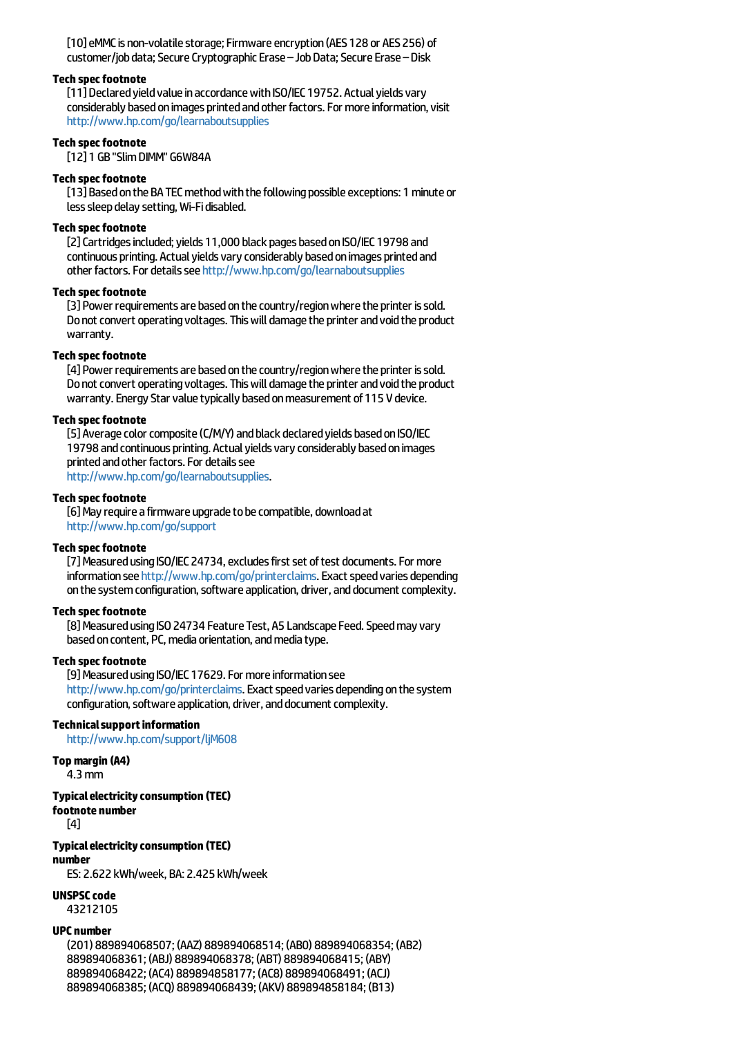[10] eMMC is non-volatile storage; Firmware encryption (AES 128 or AES 256) of customer/job data; Secure Cryptographic Erase – Job Data; Secure Erase – Disk

#### **Tech specfootnote**

[11] Declared vield value in accordance with ISO/IEC 19752. Actual vields vary considerably based on images printed and other factors. For more information, visit <http://www.hp.com/go/learnaboutsupplies>

### **Tech specfootnote**

[12] 1 GB"SlimDIMM" G6W84A

#### **Tech specfootnote**

[13] Based on the BA TEC method with the following possible exceptions: 1 minute or less sleep delay setting, Wi-Fi disabled.

#### **Tech specfootnote**

[2] Cartridges included; yields 11,000 black pages based on ISO/IEC 19798 and continuous printing. Actual yields vary considerably based on images printed and other factors. For details see <http://www.hp.com/go/learnaboutsupplies>

#### **Tech specfootnote**

[3] Power requirements are based on the country/region where the printer is sold. Do not convert operating voltages. This will damage the printer and void the product warranty.

### **Tech specfootnote**

[4] Power requirements are based on the country/region where the printer is sold. Do not convert operating voltages. This will damage the printer and void the product warranty. Energy Star value typically based on measurement of 115 V device.

#### **Tech specfootnote**

[5] Average color composite (C/M/Y) and black declared yields based on ISO/IEC 19798 and continuous printing. Actual yields vary considerably based on images printed and other factors. For details see <http://www.hp.com/go/learnaboutsupplies>.

#### **Tech specfootnote**

[6] May require a firmware upgrade to be compatible, download at <http://www.hp.com/go/support>

#### **Tech specfootnote**

[7] Measured using ISO/IEC 24734, excludes first set of test documents. For more information see <http://www.hp.com/go/printerclaims>. Exact speed varies depending on the system configuration, software application, driver, and document complexity.

#### **Tech specfootnote**

[8] Measured using ISO 24734 Feature Test, A5 Landscape Feed. Speed may vary based on content, PC, media orientation, and media type.

#### **Tech specfootnote**

[9] Measured using ISO/IEC 17629. For more information see <http://www.hp.com/go/printerclaims>. Exact speed varies depending on the system configuration, software application, driver, and document complexity.

#### **Technical support information**

<http://www.hp.com/support/ljM608>

#### **Top margin (A4)**

4.3mm

#### **Typicalelectricityconsumption (TEC)**

#### **footnote number**

[4]

#### **Typicalelectricityconsumption (TEC)**

**number**

ES: 2.622 kWh/week, BA: 2.425 kWh/week

#### **UNSPSC** code

43212105

#### **UPC number**

(201) 889894068507; (AAZ) 889894068514; (AB0) 889894068354; (AB2) 889894068361; (ABJ) 889894068378; (ABT) 889894068415; (ABY) 889894068422; (AC4) 889894858177; (AC8) 889894068491; (ACJ) 889894068385; (ACQ) 889894068439; (AKV) 889894858184; (B13)